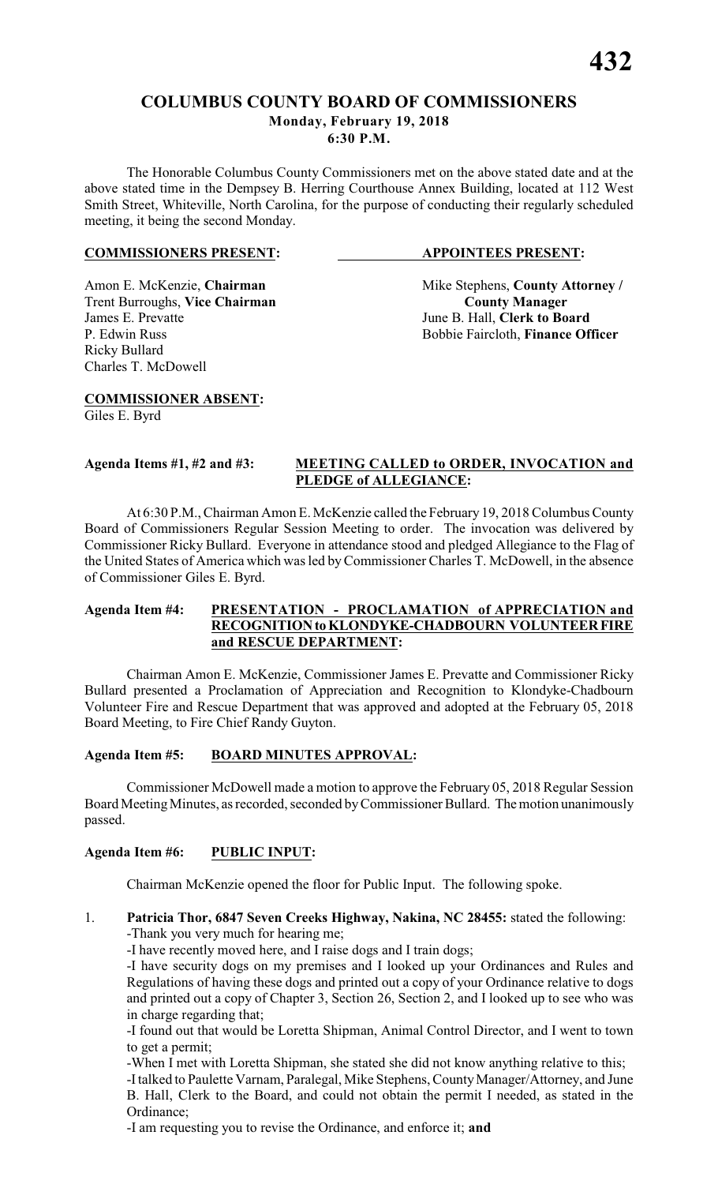# **COLUMBUS COUNTY BOARD OF COMMISSIONERS Monday, February 19, 2018 6:30 P.M.**

The Honorable Columbus County Commissioners met on the above stated date and at the above stated time in the Dempsey B. Herring Courthouse Annex Building, located at 112 West Smith Street, Whiteville, North Carolina, for the purpose of conducting their regularly scheduled meeting, it being the second Monday.

#### **COMMISSIONERS PRESENT: APPOINTEES PRESENT:**

Trent Burroughs, **Vice Chairman**<br>James E. Prevatte Ricky Bullard Charles T. McDowell

Amon E. McKenzie, **Chairman** Mike Stephens, **County Attorney** / **Trent Burroughs, Vice Chairman County Manager** June B. Hall, **Clerk to Board** P. Edwin Russ **Bobbie Faircloth, Finance Officer** 

**COMMISSIONER ABSENT:**

Giles E. Byrd

#### **Agenda Items #1, #2 and #3: MEETING CALLED to ORDER, INVOCATION and PLEDGE of ALLEGIANCE:**

At 6:30 P.M.,Chairman Amon E. McKenzie called the February19, 2018 Columbus County Board of Commissioners Regular Session Meeting to order. The invocation was delivered by Commissioner Ricky Bullard. Everyone in attendance stood and pledged Allegiance to the Flag of the United States of America which was led by Commissioner Charles T. McDowell, in the absence of Commissioner Giles E. Byrd.

### **Agenda Item #4: PRESENTATION - PROCLAMATION of APPRECIATION and RECOGNITION to KLONDYKE-CHADBOURN VOLUNTEER FIRE and RESCUE DEPARTMENT:**

Chairman Amon E. McKenzie, Commissioner James E. Prevatte and Commissioner Ricky Bullard presented a Proclamation of Appreciation and Recognition to Klondyke-Chadbourn Volunteer Fire and Rescue Department that was approved and adopted at the February 05, 2018 Board Meeting, to Fire Chief Randy Guyton.

#### **Agenda Item #5: BOARD MINUTES APPROVAL:**

Commissioner McDowell made a motion to approve the February 05, 2018 Regular Session Board Meeting Minutes, as recorded, seconded by Commissioner Bullard. The motion unanimously passed.

# **Agenda Item #6: PUBLIC INPUT:**

Chairman McKenzie opened the floor for Public Input. The following spoke.

1. **Patricia Thor, 6847 Seven Creeks Highway, Nakina, NC 28455:** stated the following: -Thank you very much for hearing me;

-I have recently moved here, and I raise dogs and I train dogs;

-I have security dogs on my premises and I looked up your Ordinances and Rules and Regulations of having these dogs and printed out a copy of your Ordinance relative to dogs and printed out a copy of Chapter 3, Section 26, Section 2, and I looked up to see who was in charge regarding that;

-I found out that would be Loretta Shipman, Animal Control Director, and I went to town to get a permit;

-When I met with Loretta Shipman, she stated she did not know anything relative to this; -I talked to Paulette Varnam, Paralegal, Mike Stephens, County Manager/Attorney, and June

B. Hall, Clerk to the Board, and could not obtain the permit I needed, as stated in the Ordinance;

-I am requesting you to revise the Ordinance, and enforce it; **and**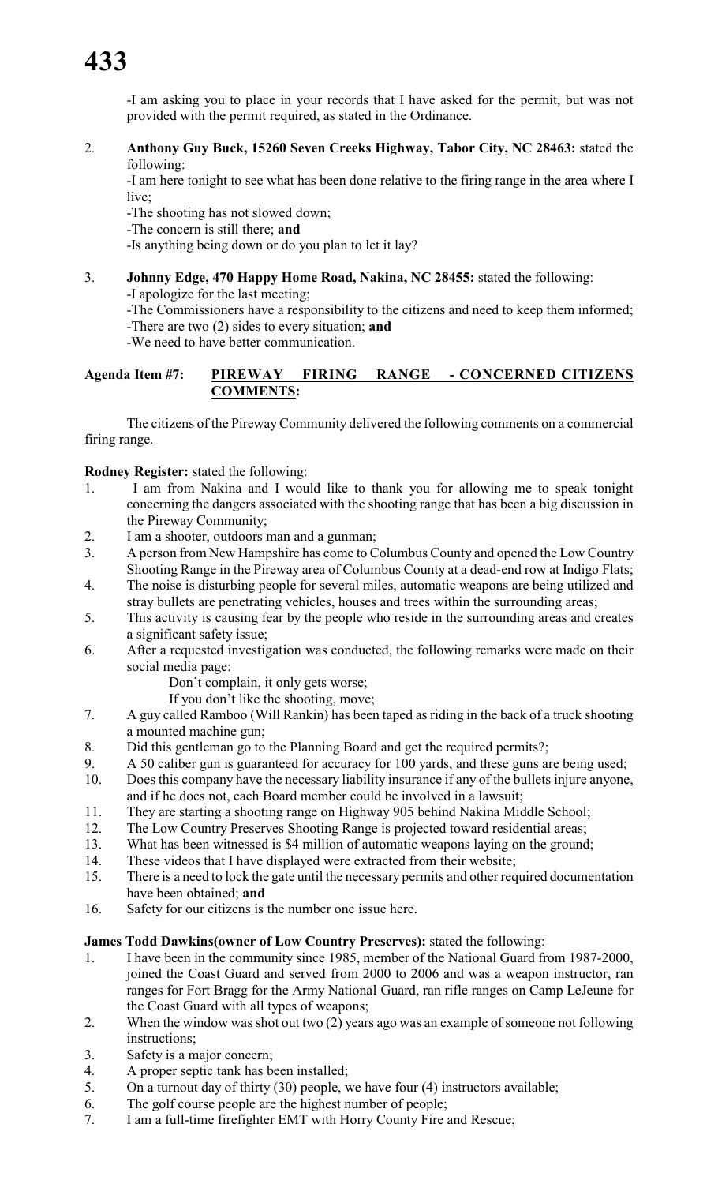-I am asking you to place in your records that I have asked for the permit, but was not provided with the permit required, as stated in the Ordinance.

2. **Anthony Guy Buck, 15260 Seven Creeks Highway, Tabor City, NC 28463:** stated the following:

-I am here tonight to see what has been done relative to the firing range in the area where I live;

-The shooting has not slowed down;

-The concern is still there; **and**

-Is anything being down or do you plan to let it lay?

# 3. **Johnny Edge, 470 Happy Home Road, Nakina, NC 28455:** stated the following:

-I apologize for the last meeting;

- -The Commissioners have a responsibility to the citizens and need to keep them informed;
- -There are two (2) sides to every situation; **and**

-We need to have better communication.

# **Agenda Item #7: PIREWAY FIRING RANGE - CONCERNED CITIZENS COMMENTS:**

The citizens of the Pireway Community delivered the following comments on a commercial firing range.

**Rodney Register:** stated the following:

- 1. I am from Nakina and I would like to thank you for allowing me to speak tonight concerning the dangers associated with the shooting range that has been a big discussion in the Pireway Community;
- 2. I am a shooter, outdoors man and a gunman;
- 3. A person from New Hampshire has come to Columbus County and opened the Low Country Shooting Range in the Pireway area of Columbus County at a dead-end row at Indigo Flats;
- 4. The noise is disturbing people for several miles, automatic weapons are being utilized and stray bullets are penetrating vehicles, houses and trees within the surrounding areas;
- 5. This activity is causing fear by the people who reside in the surrounding areas and creates a significant safety issue;
- 6. After a requested investigation was conducted, the following remarks were made on their social media page:
	- Don't complain, it only gets worse;
	- If you don't like the shooting, move;
- 7. A guy called Ramboo (Will Rankin) has been taped as riding in the back of a truck shooting a mounted machine gun;
- 8. Did this gentleman go to the Planning Board and get the required permits?;
- 9. A 50 caliber gun is guaranteed for accuracy for 100 yards, and these guns are being used;
- 10. Does this company have the necessary liability insurance if any of the bullets injure anyone, and if he does not, each Board member could be involved in a lawsuit;
- 11. They are starting a shooting range on Highway 905 behind Nakina Middle School;
- 12. The Low Country Preserves Shooting Range is projected toward residential areas;
- 13. What has been witnessed is \$4 million of automatic weapons laying on the ground;
- 14. These videos that I have displayed were extracted from their website;
- 15. There is a need to lock the gate until the necessary permits and other required documentation have been obtained; **and**
- 16. Safety for our citizens is the number one issue here.

# **James Todd Dawkins(owner of Low Country Preserves):** stated the following:

- 1. I have been in the community since 1985, member of the National Guard from 1987-2000, joined the Coast Guard and served from 2000 to 2006 and was a weapon instructor, ran ranges for Fort Bragg for the Army National Guard, ran rifle ranges on Camp LeJeune for the Coast Guard with all types of weapons;
- 2. When the window was shot out two (2) years ago was an example of someone not following instructions;
- 3. Safety is a major concern;
- 4. A proper septic tank has been installed;
- 5. On a turnout day of thirty (30) people, we have four (4) instructors available;
- 6. The golf course people are the highest number of people;
- 7. I am a full-time firefighter EMT with Horry County Fire and Rescue;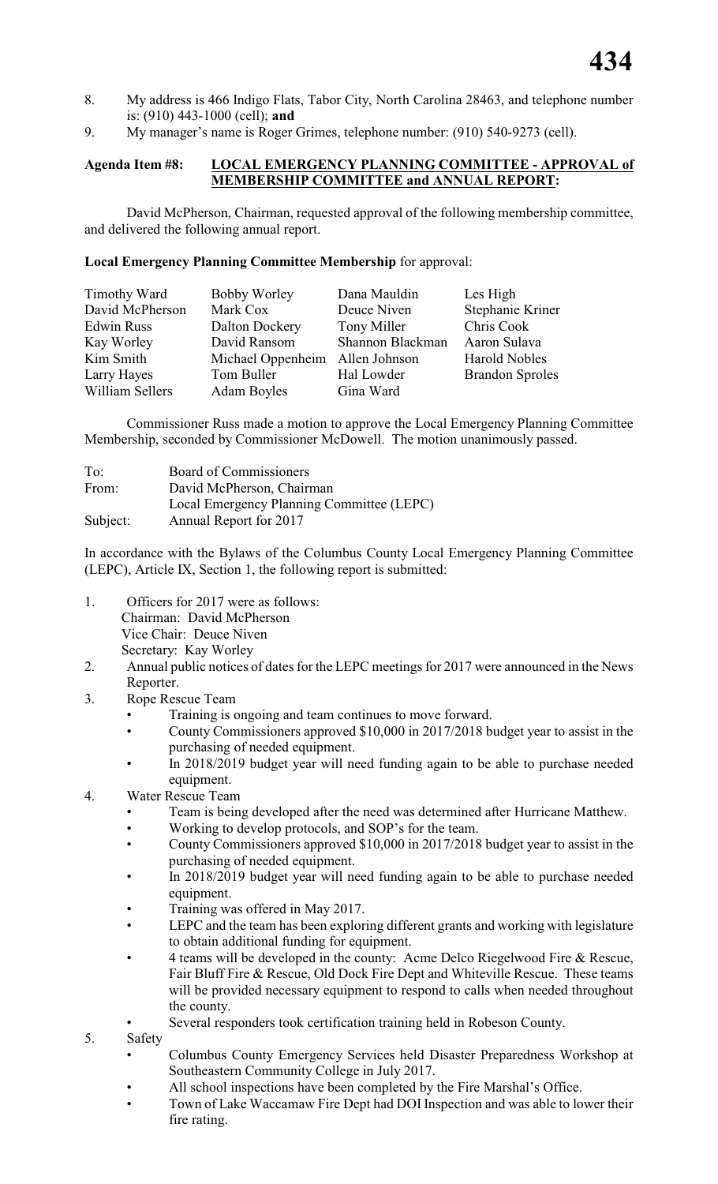- 8. My address is 466 Indigo Flats, Tabor City, North Carolina 28463, and telephone number is: (910) 443-1000 (cell); **and**
- 9. My manager's name is Roger Grimes, telephone number: (910) 540-9273 (cell).

## **Agenda Item #8: LOCAL EMERGENCY PLANNING COMMITTEE - APPROVAL of MEMBERSHIP COMMITTEE and ANNUAL REPORT:**

David McPherson, Chairman, requested approval of the following membership committee, and delivered the following annual report.

# **Local Emergency Planning Committee Membership** for approval:

| Timothy Ward      | <b>Bobby Worley</b> | Dana Mauldin     | Les High               |
|-------------------|---------------------|------------------|------------------------|
| David McPherson   | Mark Cox            | Deuce Niven      | Stephanie Kriner       |
| <b>Edwin Russ</b> | Dalton Dockery      | Tony Miller      | Chris Cook             |
| Kay Worley        | David Ransom        | Shannon Blackman | Aaron Sulava           |
| Kim Smith         | Michael Oppenheim   | Allen Johnson    | <b>Harold Nobles</b>   |
| Larry Hayes       | Tom Buller          | Hal Lowder       | <b>Brandon Sproles</b> |
| William Sellers   | <b>Adam Boyles</b>  | Gina Ward        |                        |

Commissioner Russ made a motion to approve the Local Emergency Planning Committee Membership, seconded by Commissioner McDowell. The motion unanimously passed.

| To:      | Board of Commissioners                    |
|----------|-------------------------------------------|
| From:    | David McPherson, Chairman                 |
|          | Local Emergency Planning Committee (LEPC) |
| Subject: | Annual Report for 2017                    |

In accordance with the Bylaws of the Columbus County Local Emergency Planning Committee (LEPC), Article IX, Section 1, the following report is submitted:

- 1. Officers for 2017 were as follows: Chairman: David McPherson Vice Chair: Deuce Niven Secretary: Kay Worley
- 2. Annual public notices of dates for the LEPC meetings for 2017 were announced in the News Reporter.
- 3. Rope Rescue Team
	- Training is ongoing and team continues to move forward.
	- County Commissioners approved \$10,000 in 2017/2018 budget year to assist in the purchasing of needed equipment.
	- In 2018/2019 budget year will need funding again to be able to purchase needed equipment.
- 4. Water Rescue Team
	- Team is being developed after the need was determined after Hurricane Matthew.
	- Working to develop protocols, and SOP's for the team.
	- County Commissioners approved \$10,000 in 2017/2018 budget year to assist in the purchasing of needed equipment.
	- In 2018/2019 budget year will need funding again to be able to purchase needed equipment.
	- Training was offered in May 2017.
	- LEPC and the team has been exploring different grants and working with legislature to obtain additional funding for equipment.
	- 4 teams will be developed in the county: Acme Delco Riegelwood Fire & Rescue, Fair Bluff Fire & Rescue, Old Dock Fire Dept and Whiteville Rescue. These teams will be provided necessary equipment to respond to calls when needed throughout the county.
	- Several responders took certification training held in Robeson County.
- 5. Safety
	- Columbus County Emergency Services held Disaster Preparedness Workshop at Southeastern Community College in July 2017.
	- All school inspections have been completed by the Fire Marshal's Office.
	- Town of Lake Waccamaw Fire Dept had DOI Inspection and was able to lower their fire rating.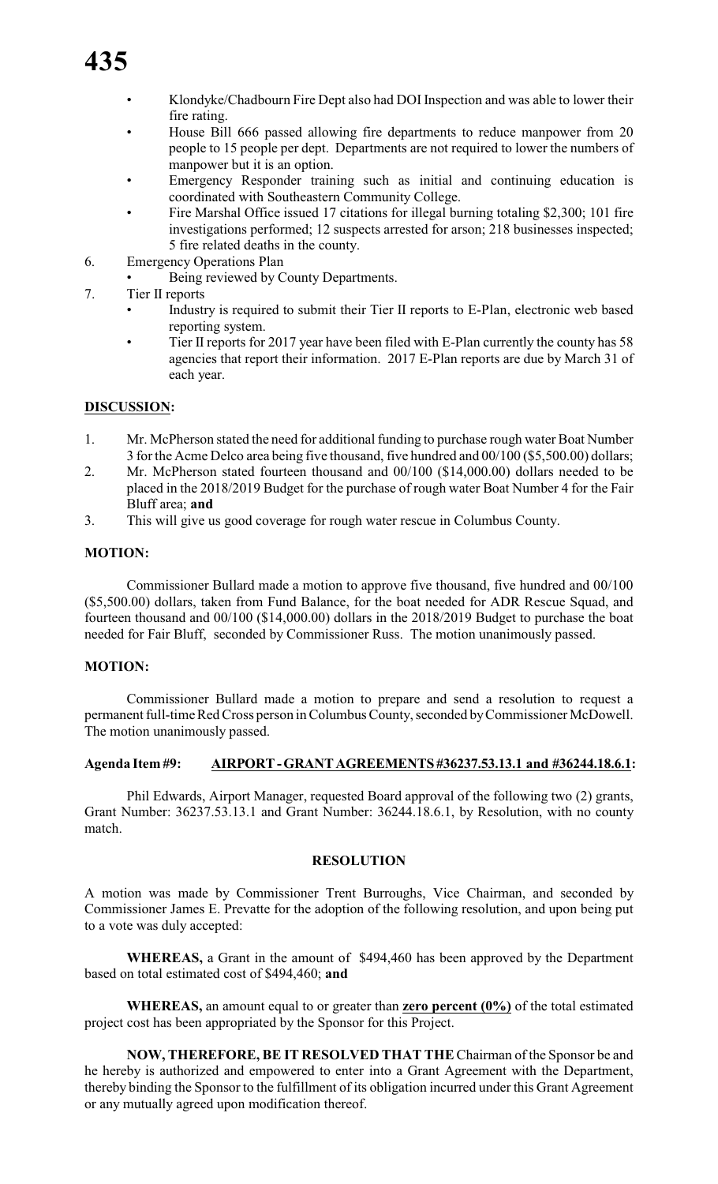- Klondyke/Chadbourn Fire Dept also had DOI Inspection and was able to lower their fire rating.
- House Bill 666 passed allowing fire departments to reduce manpower from 20 people to 15 people per dept. Departments are not required to lower the numbers of manpower but it is an option.
- Emergency Responder training such as initial and continuing education is coordinated with Southeastern Community College.
- Fire Marshal Office issued 17 citations for illegal burning totaling \$2,300; 101 fire investigations performed; 12 suspects arrested for arson; 218 businesses inspected; 5 fire related deaths in the county.
- 6. Emergency Operations Plan
	- Being reviewed by County Departments.
- 7. Tier II reports
	- Industry is required to submit their Tier II reports to E-Plan, electronic web based reporting system.
	- Tier II reports for 2017 year have been filed with E-Plan currently the county has 58 agencies that report their information. 2017 E-Plan reports are due by March 31 of each year.

#### **DISCUSSION:**

- 1. Mr. McPherson stated the need for additional funding to purchase rough water Boat Number 3 for the Acme Delco area being five thousand, five hundred and 00/100 (\$5,500.00) dollars;
- 2. Mr. McPherson stated fourteen thousand and 00/100 (\$14,000.00) dollars needed to be placed in the 2018/2019 Budget for the purchase of rough water Boat Number 4 for the Fair Bluff area; **and**
- 3. This will give us good coverage for rough water rescue in Columbus County.

# **MOTION:**

Commissioner Bullard made a motion to approve five thousand, five hundred and 00/100 (\$5,500.00) dollars, taken from Fund Balance, for the boat needed for ADR Rescue Squad, and fourteen thousand and 00/100 (\$14,000.00) dollars in the 2018/2019 Budget to purchase the boat needed for Fair Bluff, seconded by Commissioner Russ. The motion unanimously passed.

#### **MOTION:**

Commissioner Bullard made a motion to prepare and send a resolution to request a permanent full-time Red Cross person in Columbus County, seconded by Commissioner McDowell. The motion unanimously passed.

#### **Agenda Item #9: AIRPORT - GRANT AGREEMENTS #36237.53.13.1 and #36244.18.6.1:**

Phil Edwards, Airport Manager, requested Board approval of the following two (2) grants, Grant Number: 36237.53.13.1 and Grant Number: 36244.18.6.1, by Resolution, with no county match.

#### **RESOLUTION**

A motion was made by Commissioner Trent Burroughs, Vice Chairman, and seconded by Commissioner James E. Prevatte for the adoption of the following resolution, and upon being put to a vote was duly accepted:

**WHEREAS,** a Grant in the amount of \$494,460 has been approved by the Department based on total estimated cost of \$494,460; **and**

**WHEREAS,** an amount equal to or greater than **zero percent (0%)** of the total estimated project cost has been appropriated by the Sponsor for this Project.

**NOW, THEREFORE, BE IT RESOLVED THAT THE** Chairman of the Sponsor be and he hereby is authorized and empowered to enter into a Grant Agreement with the Department, thereby binding the Sponsor to the fulfillment of its obligation incurred under this Grant Agreement or any mutually agreed upon modification thereof.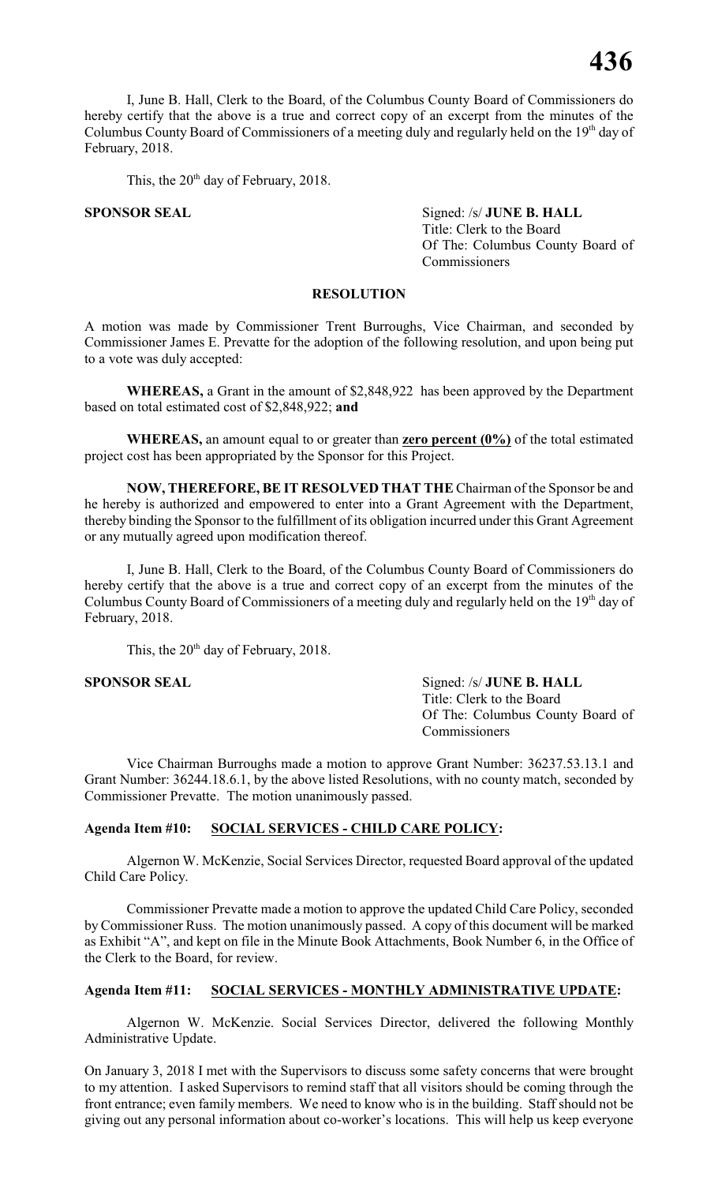I, June B. Hall, Clerk to the Board, of the Columbus County Board of Commissioners do hereby certify that the above is a true and correct copy of an excerpt from the minutes of the Columbus County Board of Commissioners of a meeting duly and regularly held on the 19<sup>th</sup> day of February, 2018.

This, the  $20<sup>th</sup>$  day of February, 2018.

**SPONSOR SEAL** Signed: /s/ **JUNE B. HALL** Title: Clerk to the Board Of The: Columbus County Board of Commissioners

#### **RESOLUTION**

A motion was made by Commissioner Trent Burroughs, Vice Chairman, and seconded by Commissioner James E. Prevatte for the adoption of the following resolution, and upon being put to a vote was duly accepted:

**WHEREAS,** a Grant in the amount of \$2,848,922 has been approved by the Department based on total estimated cost of \$2,848,922; **and**

**WHEREAS,** an amount equal to or greater than **zero percent (0%)** of the total estimated project cost has been appropriated by the Sponsor for this Project.

**NOW, THEREFORE, BE IT RESOLVED THAT THE** Chairman of the Sponsor be and he hereby is authorized and empowered to enter into a Grant Agreement with the Department, thereby binding the Sponsor to the fulfillment of its obligation incurred under this Grant Agreement or any mutually agreed upon modification thereof.

I, June B. Hall, Clerk to the Board, of the Columbus County Board of Commissioners do hereby certify that the above is a true and correct copy of an excerpt from the minutes of the Columbus County Board of Commissioners of a meeting duly and regularly held on the 19<sup>th</sup> day of February, 2018.

This, the  $20<sup>th</sup>$  day of February, 2018.

**SPONSOR SEAL** Signed: /s/ **JUNE B. HALL** Title: Clerk to the Board Of The: Columbus County Board of Commissioners

Vice Chairman Burroughs made a motion to approve Grant Number: 36237.53.13.1 and Grant Number: 36244.18.6.1, by the above listed Resolutions, with no county match, seconded by Commissioner Prevatte. The motion unanimously passed.

#### **Agenda Item #10: SOCIAL SERVICES - CHILD CARE POLICY:**

Algernon W. McKenzie, Social Services Director, requested Board approval of the updated Child Care Policy.

Commissioner Prevatte made a motion to approve the updated Child Care Policy, seconded by Commissioner Russ. The motion unanimously passed. A copy of this document will be marked as Exhibit "A", and kept on file in the Minute Book Attachments, Book Number 6, in the Office of the Clerk to the Board, for review.

#### **Agenda Item #11: SOCIAL SERVICES - MONTHLY ADMINISTRATIVE UPDATE:**

Algernon W. McKenzie. Social Services Director, delivered the following Monthly Administrative Update.

On January 3, 2018 I met with the Supervisors to discuss some safety concerns that were brought to my attention. I asked Supervisors to remind staff that all visitors should be coming through the front entrance; even family members. We need to know who is in the building. Staff should not be giving out any personal information about co-worker's locations. This will help us keep everyone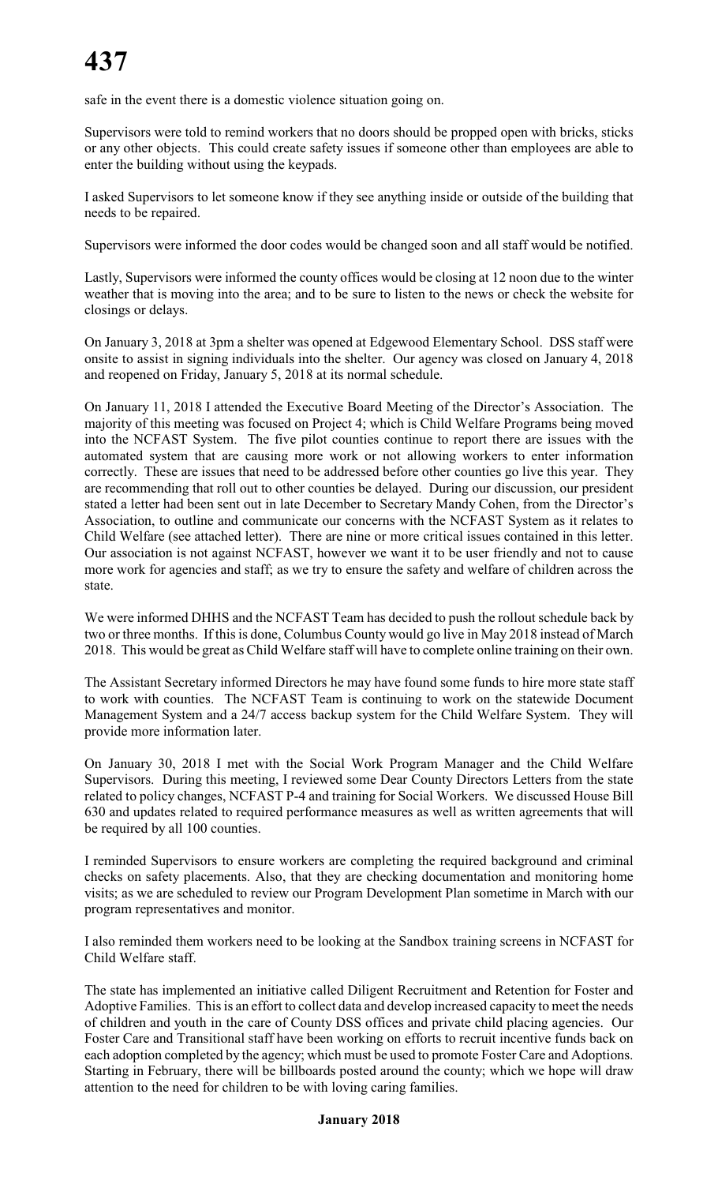safe in the event there is a domestic violence situation going on.

Supervisors were told to remind workers that no doors should be propped open with bricks, sticks or any other objects. This could create safety issues if someone other than employees are able to enter the building without using the keypads.

I asked Supervisors to let someone know if they see anything inside or outside of the building that needs to be repaired.

Supervisors were informed the door codes would be changed soon and all staff would be notified.

Lastly, Supervisors were informed the county offices would be closing at 12 noon due to the winter weather that is moving into the area; and to be sure to listen to the news or check the website for closings or delays.

On January 3, 2018 at 3pm a shelter was opened at Edgewood Elementary School. DSS staff were onsite to assist in signing individuals into the shelter. Our agency was closed on January 4, 2018 and reopened on Friday, January 5, 2018 at its normal schedule.

On January 11, 2018 I attended the Executive Board Meeting of the Director's Association. The majority of this meeting was focused on Project 4; which is Child Welfare Programs being moved into the NCFAST System. The five pilot counties continue to report there are issues with the automated system that are causing more work or not allowing workers to enter information correctly. These are issues that need to be addressed before other counties go live this year. They are recommending that roll out to other counties be delayed. During our discussion, our president stated a letter had been sent out in late December to Secretary Mandy Cohen, from the Director's Association, to outline and communicate our concerns with the NCFAST System as it relates to Child Welfare (see attached letter). There are nine or more critical issues contained in this letter. Our association is not against NCFAST, however we want it to be user friendly and not to cause more work for agencies and staff; as we try to ensure the safety and welfare of children across the state.

We were informed DHHS and the NCFAST Team has decided to push the rollout schedule back by two or three months. If this is done, Columbus County would go live in May 2018 instead of March 2018. This would be great as Child Welfare staff will have to complete online training on their own.

The Assistant Secretary informed Directors he may have found some funds to hire more state staff to work with counties. The NCFAST Team is continuing to work on the statewide Document Management System and a 24/7 access backup system for the Child Welfare System. They will provide more information later.

On January 30, 2018 I met with the Social Work Program Manager and the Child Welfare Supervisors. During this meeting, I reviewed some Dear County Directors Letters from the state related to policy changes, NCFAST P-4 and training for Social Workers. We discussed House Bill 630 and updates related to required performance measures as well as written agreements that will be required by all 100 counties.

I reminded Supervisors to ensure workers are completing the required background and criminal checks on safety placements. Also, that they are checking documentation and monitoring home visits; as we are scheduled to review our Program Development Plan sometime in March with our program representatives and monitor.

I also reminded them workers need to be looking at the Sandbox training screens in NCFAST for Child Welfare staff.

The state has implemented an initiative called Diligent Recruitment and Retention for Foster and Adoptive Families. This is an effort to collect data and develop increased capacity to meet the needs of children and youth in the care of County DSS offices and private child placing agencies. Our Foster Care and Transitional staff have been working on efforts to recruit incentive funds back on each adoption completed by the agency; which must be used to promote Foster Care and Adoptions. Starting in February, there will be billboards posted around the county; which we hope will draw attention to the need for children to be with loving caring families.

#### **January 2018**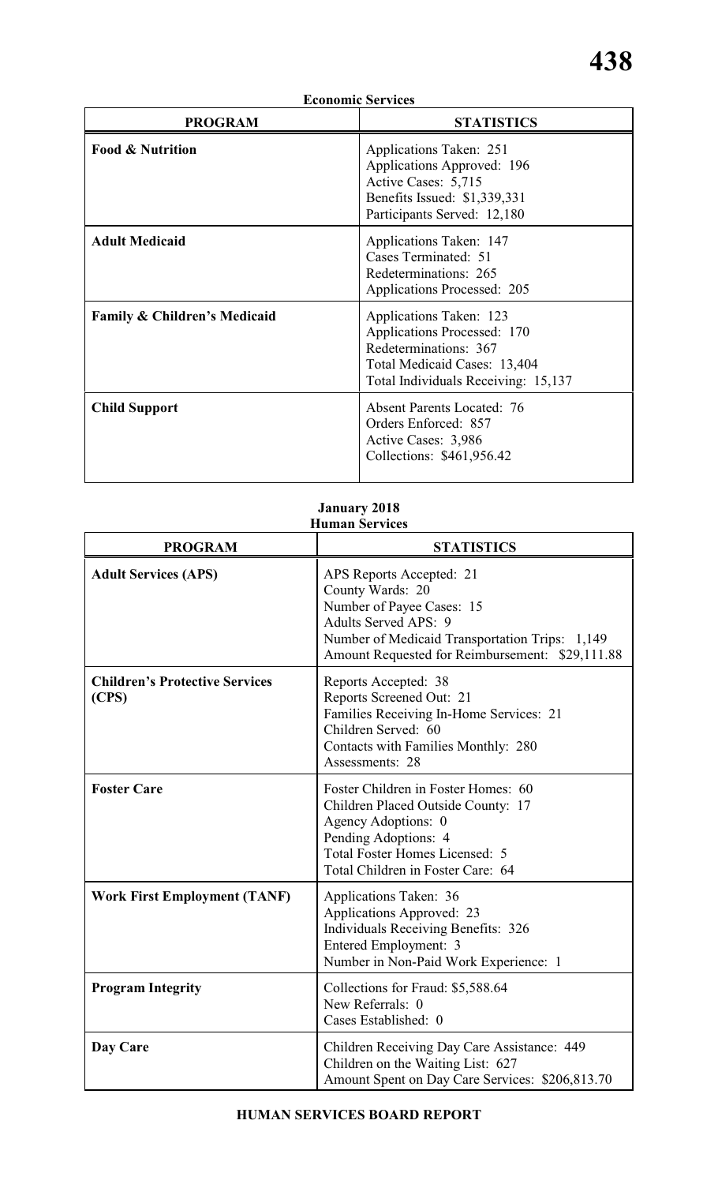| <b>Economic Services</b> |  |
|--------------------------|--|
|--------------------------|--|

| <b>PROGRAM</b>                          | <b>STATISTICS</b>                                                                                                                                      |
|-----------------------------------------|--------------------------------------------------------------------------------------------------------------------------------------------------------|
| <b>Food &amp; Nutrition</b>             | Applications Taken: 251<br>Applications Approved: 196<br>Active Cases: 5,715<br>Benefits Issued: \$1,339,331<br>Participants Served: 12,180            |
| <b>Adult Medicaid</b>                   | Applications Taken: 147<br>Cases Terminated: 51<br>Redeterminations: 265<br>Applications Processed: 205                                                |
| <b>Family &amp; Children's Medicaid</b> | Applications Taken: 123<br>Applications Processed: 170<br>Redeterminations: 367<br>Total Medicaid Cases: 13,404<br>Total Individuals Receiving: 15,137 |
| <b>Child Support</b>                    | <b>Absent Parents Located: 76</b><br>Orders Enforced: 857<br>Active Cases: 3,986<br>Collections: \$461,956.42                                          |

#### **January 2018 Human Services**

| <b>PROGRAM</b>                                 | <b>STATISTICS</b>                                                                                                                                                                                             |
|------------------------------------------------|---------------------------------------------------------------------------------------------------------------------------------------------------------------------------------------------------------------|
| <b>Adult Services (APS)</b>                    | APS Reports Accepted: 21<br>County Wards: 20<br>Number of Payee Cases: 15<br><b>Adults Served APS: 9</b><br>Number of Medicaid Transportation Trips: 1,149<br>Amount Requested for Reimbursement: \$29,111.88 |
| <b>Children's Protective Services</b><br>(CPS) | Reports Accepted: 38<br>Reports Screened Out: 21<br>Families Receiving In-Home Services: 21<br>Children Served: 60<br>Contacts with Families Monthly: 280<br>Assessments: 28                                  |
| <b>Foster Care</b>                             | Foster Children in Foster Homes: 60<br>Children Placed Outside County: 17<br>Agency Adoptions: 0<br>Pending Adoptions: 4<br>Total Foster Homes Licensed: 5<br>Total Children in Foster Care: 64               |
| <b>Work First Employment (TANF)</b>            | Applications Taken: 36<br>Applications Approved: 23<br><b>Individuals Receiving Benefits: 326</b><br>Entered Employment: 3<br>Number in Non-Paid Work Experience: 1                                           |
| <b>Program Integrity</b>                       | Collections for Fraud: \$5,588.64<br>New Referrals: 0<br>Cases Established: 0                                                                                                                                 |
| Day Care                                       | Children Receiving Day Care Assistance: 449<br>Children on the Waiting List: 627<br>Amount Spent on Day Care Services: \$206,813.70                                                                           |

# **HUMAN SERVICES BOARD REPORT**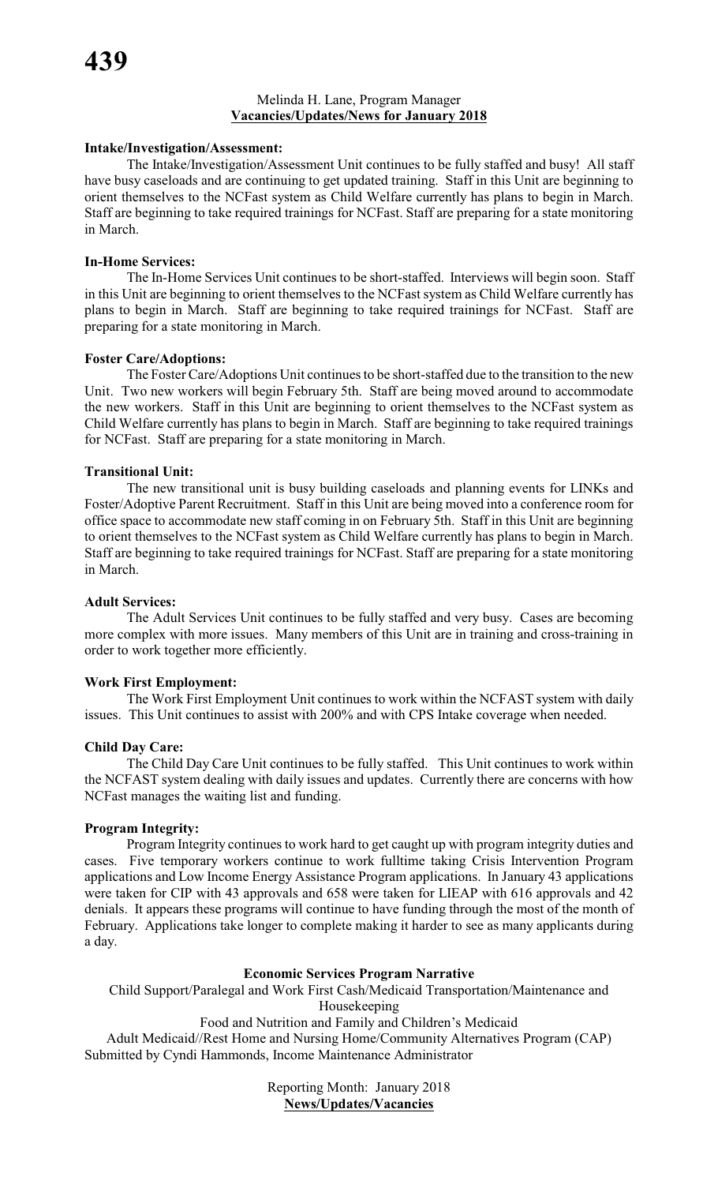#### Melinda H. Lane, Program Manager **Vacancies/Updates/News for January 2018**

#### **Intake/Investigation/Assessment:**

The Intake/Investigation/Assessment Unit continues to be fully staffed and busy! All staff have busy caseloads and are continuing to get updated training. Staff in this Unit are beginning to orient themselves to the NCFast system as Child Welfare currently has plans to begin in March. Staff are beginning to take required trainings for NCFast. Staff are preparing for a state monitoring in March.

#### **In-Home Services:**

The In-Home Services Unit continues to be short-staffed. Interviews will begin soon. Staff in this Unit are beginning to orient themselves to the NCFast system as Child Welfare currently has plans to begin in March. Staff are beginning to take required trainings for NCFast. Staff are preparing for a state monitoring in March.

#### **Foster Care/Adoptions:**

The Foster Care/Adoptions Unit continues to be short-staffed due to the transition to the new Unit. Two new workers will begin February 5th. Staff are being moved around to accommodate the new workers. Staff in this Unit are beginning to orient themselves to the NCFast system as Child Welfare currently has plans to begin in March. Staff are beginning to take required trainings for NCFast. Staff are preparing for a state monitoring in March.

#### **Transitional Unit:**

The new transitional unit is busy building caseloads and planning events for LINKs and Foster/Adoptive Parent Recruitment. Staff in this Unit are being moved into a conference room for office space to accommodate new staff coming in on February 5th. Staff in this Unit are beginning to orient themselves to the NCFast system as Child Welfare currently has plans to begin in March. Staff are beginning to take required trainings for NCFast. Staff are preparing for a state monitoring in March.

#### **Adult Services:**

The Adult Services Unit continues to be fully staffed and very busy. Cases are becoming more complex with more issues. Many members of this Unit are in training and cross-training in order to work together more efficiently.

#### **Work First Employment:**

The Work First Employment Unit continues to work within the NCFAST system with daily issues. This Unit continues to assist with 200% and with CPS Intake coverage when needed.

#### **Child Day Care:**

The Child Day Care Unit continues to be fully staffed. This Unit continues to work within the NCFAST system dealing with daily issues and updates. Currently there are concerns with how NCFast manages the waiting list and funding.

#### **Program Integrity:**

Program Integrity continues to work hard to get caught up with program integrity duties and cases. Five temporary workers continue to work fulltime taking Crisis Intervention Program applications and Low Income Energy Assistance Program applications. In January 43 applications were taken for CIP with 43 approvals and 658 were taken for LIEAP with 616 approvals and 42 denials. It appears these programs will continue to have funding through the most of the month of February. Applications take longer to complete making it harder to see as many applicants during a day.

#### **Economic Services Program Narrative**

Child Support/Paralegal and Work First Cash/Medicaid Transportation/Maintenance and Housekeeping

Food and Nutrition and Family and Children's Medicaid

Adult Medicaid//Rest Home and Nursing Home/Community Alternatives Program (CAP) Submitted by Cyndi Hammonds, Income Maintenance Administrator

> Reporting Month: January 2018 **News/Updates/Vacancies**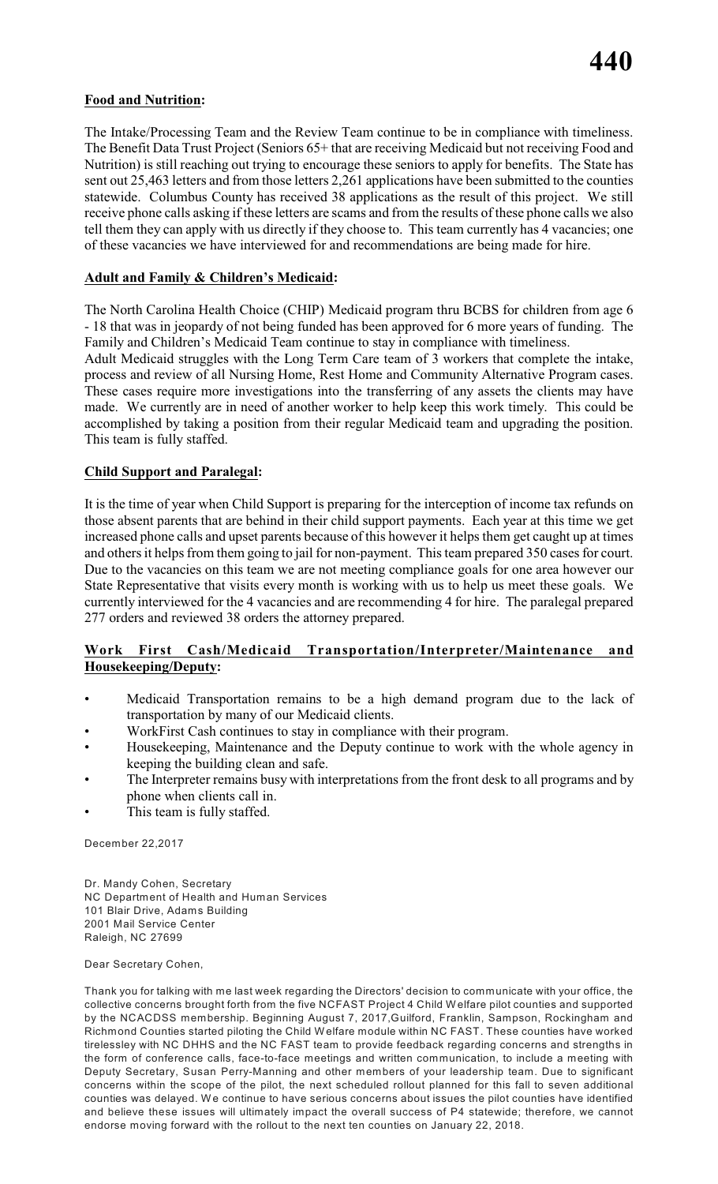# **Food and Nutrition:**

The Intake/Processing Team and the Review Team continue to be in compliance with timeliness. The Benefit Data Trust Project (Seniors 65+ that are receiving Medicaid but not receiving Food and Nutrition) is still reaching out trying to encourage these seniors to apply for benefits. The State has sent out 25,463 letters and from those letters 2,261 applications have been submitted to the counties statewide. Columbus County has received 38 applications as the result of this project. We still receive phone calls asking if these letters are scams and from the results of these phone calls we also tell them they can apply with us directly if they choose to. This team currently has 4 vacancies; one of these vacancies we have interviewed for and recommendations are being made for hire.

#### **Adult and Family & Children's Medicaid:**

The North Carolina Health Choice (CHIP) Medicaid program thru BCBS for children from age 6 - 18 that was in jeopardy of not being funded has been approved for 6 more years of funding. The Family and Children's Medicaid Team continue to stay in compliance with timeliness.

Adult Medicaid struggles with the Long Term Care team of 3 workers that complete the intake, process and review of all Nursing Home, Rest Home and Community Alternative Program cases. These cases require more investigations into the transferring of any assets the clients may have made. We currently are in need of another worker to help keep this work timely. This could be accomplished by taking a position from their regular Medicaid team and upgrading the position. This team is fully staffed.

# **Child Support and Paralegal:**

It is the time of year when Child Support is preparing for the interception of income tax refunds on those absent parents that are behind in their child support payments. Each year at this time we get increased phone calls and upset parents because of this however it helps them get caught up at times and others it helps from them going to jail for non-payment. This team prepared 350 cases for court. Due to the vacancies on this team we are not meeting compliance goals for one area however our State Representative that visits every month is working with us to help us meet these goals. We currently interviewed for the 4 vacancies and are recommending 4 for hire. The paralegal prepared 277 orders and reviewed 38 orders the attorney prepared.

# **Work First Cash/Medicaid Transportation/Interpreter/Maintenance and Housekeeping/Deputy:**

- Medicaid Transportation remains to be a high demand program due to the lack of transportation by many of our Medicaid clients.
- WorkFirst Cash continues to stay in compliance with their program.
- Housekeeping, Maintenance and the Deputy continue to work with the whole agency in keeping the building clean and safe.
- The Interpreter remains busy with interpretations from the front desk to all programs and by phone when clients call in.
- This team is fully staffed.

December 22,2017

Dr. Mandy Cohen, Secretary NC Department of Health and Human Services 101 Blair Drive, Adams Building 2001 Mail Service Center Raleigh, NC 27699

Dear Secretary Cohen,

Thank you for talking with me last week regarding the Directors' decision to communicate with your office, the collective concerns brought forth from the five NCFAST Project 4 Child W elfare pilot counties and supported by the NCACDSS membership. Beginning August 7, 2017,Guilford, Franklin, Sampson, Rockingham and Richmond Counties started piloting the Child Welfare module within NC FAST. These counties have worked tirelessley with NC DHHS and the NC FAST team to provide feedback regarding concerns and strengths in the form of conference calls, face-to-face meetings and written communication, to include a meeting with Deputy Secretary, Susan Perry-Manning and other members of your leadership team. Due to significant concerns within the scope of the pilot, the next scheduled rollout planned for this fall to seven additional counties was delayed. W e continue to have serious concerns about issues the pilot counties have identified and believe these issues will ultimately impact the overall success of P4 statewide; therefore, we cannot endorse moving forward with the rollout to the next ten counties on January 22, 2018.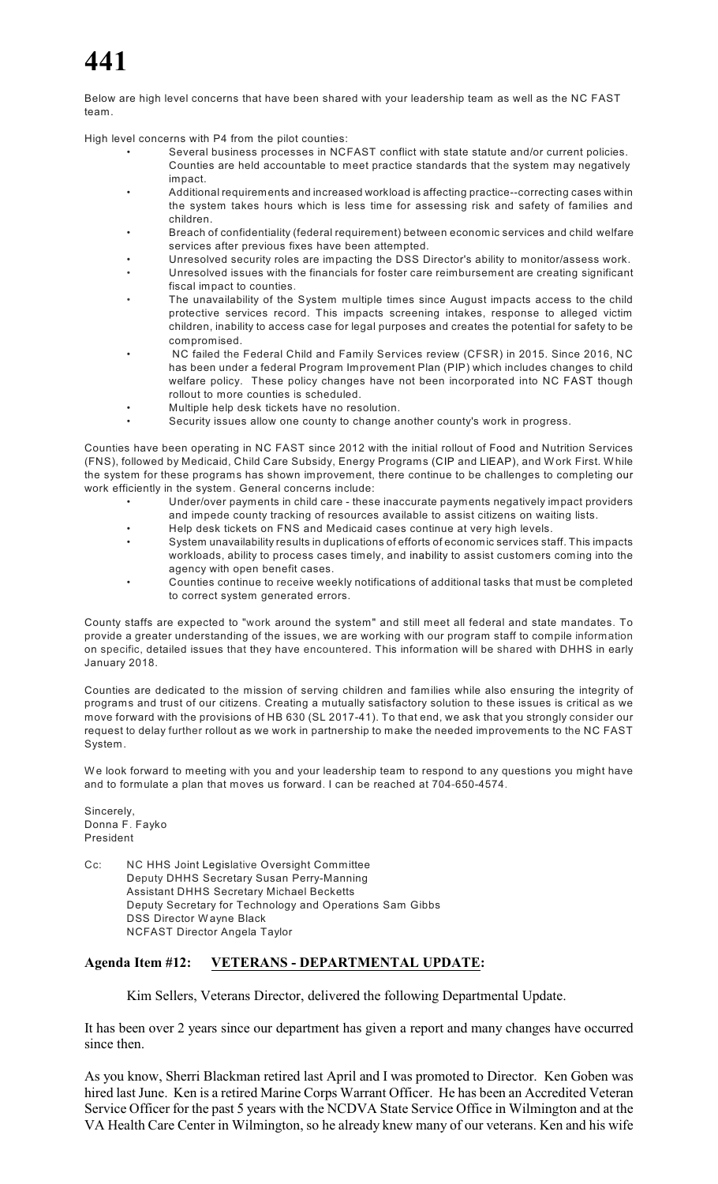Below are high level concerns that have been shared with your leadership team as well as the NC FAST team.

High level concerns with P4 from the pilot counties:

- Several business processes in NCFAST conflict with state statute and/or current policies. Counties are held accountable to meet practice standards that the system may negatively impact.
- Additional requirements and increased workload is affecting practice--correcting cases within the system takes hours which is less time for assessing risk and safety of families and children.
- Breach of confidentiality (federal requirement) between economic services and child welfare services after previous fixes have been attempted.
- Unresolved security roles are impacting the DSS Director's ability to monitor/assess work.
- Unresolved issues with the financials for foster care reimbursement are creating significant fiscal impact to counties.
- The unavailability of the System multiple times since August impacts access to the child protective services record. This impacts screening intakes, response to alleged victim children, inability to access case for legal purposes and creates the potential for safety to be compromised.
- NC failed the Federal Child and Family Services review (CFSR) in 2015. Since 2016, NC has been under a federal Program Improvement Plan (PIP) which includes changes to child welfare policy. These policy changes have not been incorporated into NC FAST though rollout to more counties is scheduled.
- Multiple help desk tickets have no resolution.
- Security issues allow one county to change another county's work in progress.

Counties have been operating in NC FAST since 2012 with the initial rollout of Food and Nutrition Services (FNS), followed by Medicaid, Child Care Subsidy, Energy Programs (CIP and LlEAP), and W ork First. W hile the system for these programs has shown improvement, there continue to be challenges to completing our work efficiently in the system. General concerns include:

- Under/over payments in child care these inaccurate payments negatively impact providers
- and impede county tracking of resources available to assist citizens on waiting lists. • Help desk tickets on FNS and Medicaid cases continue at very high levels.
- System unavailability results in duplications of efforts of economic services staff. This impacts workloads, ability to process cases timely, and inability to assist customers coming into the
- agency with open benefit cases. • Counties continue to receive weekly notifications of additional tasks that must be completed to correct system generated errors.

County staffs are expected to "work around the system" and still meet all federal and state mandates. To provide a greater understanding of the issues, we are working with our program staff to compile information on specific, detailed issues that they have encountered. This information will be shared with DHHS in early January 2018.

Counties are dedicated to the mission of serving children and families while also ensuring the integrity of programs and trust of our citizens. Creating a mutually satisfactory solution to these issues is critical as we move forward with the provisions of HB 630 (SL 2017-41). To that end, we ask that you strongly consider our request to delay further rollout as we work in partnership to make the needed improvements to the NC FAST System.

We look forward to meeting with you and your leadership team to respond to any questions you might have and to formulate a plan that moves us forward. I can be reached at 704-650-4574.

Sincerely, Donna F. Fayko President

Cc: NC HHS Joint Legislative Oversight Committee Deputy DHHS Secretary Susan Perry-Manning Assistant DHHS Secretary Michael Becketts Deputy Secretary for Technology and Operations Sam Gibbs DSS Director W ayne Black NCFAST Director Angela Taylor

# **Agenda Item #12: VETERANS - DEPARTMENTAL UPDATE:**

Kim Sellers, Veterans Director, delivered the following Departmental Update.

It has been over 2 years since our department has given a report and many changes have occurred since then.

As you know, Sherri Blackman retired last April and I was promoted to Director. Ken Goben was hired last June. Ken is a retired Marine Corps Warrant Officer. He has been an Accredited Veteran Service Officer for the past 5 years with the NCDVA State Service Office in Wilmington and at the VA Health Care Center in Wilmington, so he already knew many of our veterans. Ken and his wife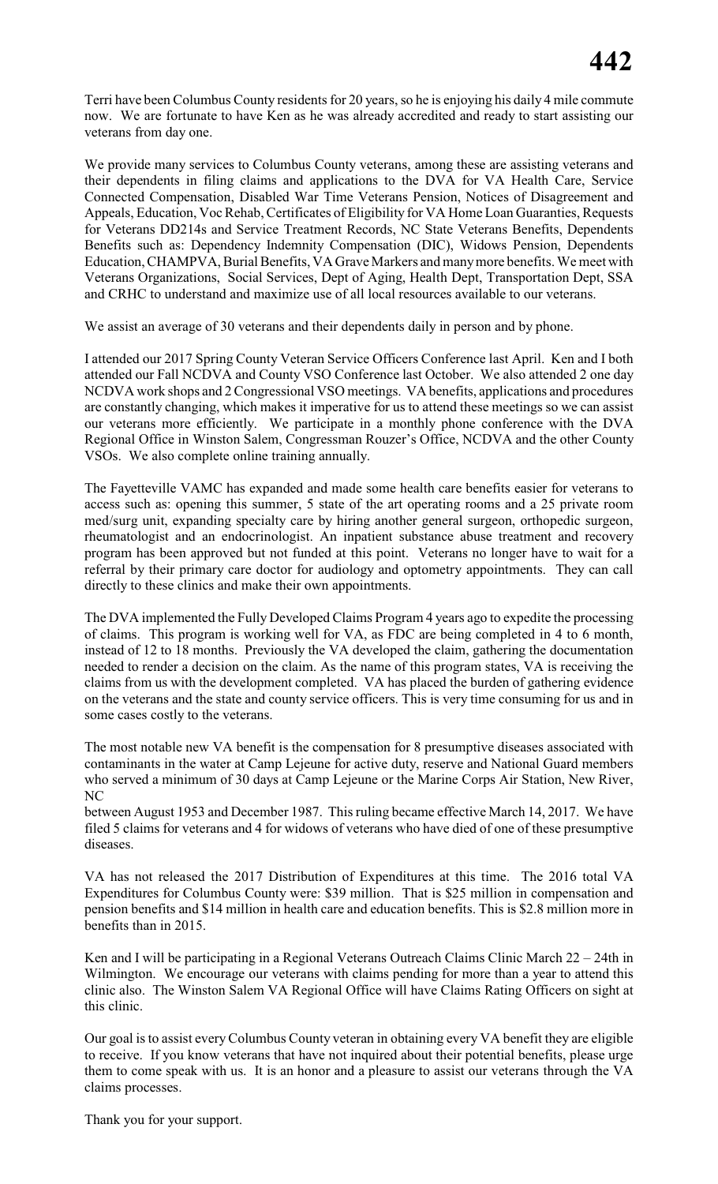Terri have been Columbus County residents for 20 years, so he is enjoying his daily 4 mile commute now. We are fortunate to have Ken as he was already accredited and ready to start assisting our veterans from day one.

We provide many services to Columbus County veterans, among these are assisting veterans and their dependents in filing claims and applications to the DVA for VA Health Care, Service Connected Compensation, Disabled War Time Veterans Pension, Notices of Disagreement and Appeals, Education, Voc Rehab, Certificates of Eligibility for VA Home Loan Guaranties, Requests for Veterans DD214s and Service Treatment Records, NC State Veterans Benefits, Dependents Benefits such as: Dependency Indemnity Compensation (DIC), Widows Pension, Dependents Education, CHAMPVA, Burial Benefits, VA Grave Markers and many more benefits. We meet with Veterans Organizations, Social Services, Dept of Aging, Health Dept, Transportation Dept, SSA and CRHC to understand and maximize use of all local resources available to our veterans.

We assist an average of 30 veterans and their dependents daily in person and by phone.

I attended our 2017 Spring County Veteran Service Officers Conference last April. Ken and I both attended our Fall NCDVA and County VSO Conference last October. We also attended 2 one day NCDVA work shops and 2 Congressional VSO meetings. VA benefits, applications and procedures are constantly changing, which makes it imperative for us to attend these meetings so we can assist our veterans more efficiently. We participate in a monthly phone conference with the DVA Regional Office in Winston Salem, Congressman Rouzer's Office, NCDVA and the other County VSOs. We also complete online training annually.

The Fayetteville VAMC has expanded and made some health care benefits easier for veterans to access such as: opening this summer, 5 state of the art operating rooms and a 25 private room med/surg unit, expanding specialty care by hiring another general surgeon, orthopedic surgeon, rheumatologist and an endocrinologist. An inpatient substance abuse treatment and recovery program has been approved but not funded at this point. Veterans no longer have to wait for a referral by their primary care doctor for audiology and optometry appointments. They can call directly to these clinics and make their own appointments.

The DVA implemented the Fully Developed Claims Program 4 years ago to expedite the processing of claims. This program is working well for VA, as FDC are being completed in 4 to 6 month, instead of 12 to 18 months. Previously the VA developed the claim, gathering the documentation needed to render a decision on the claim. As the name of this program states, VA is receiving the claims from us with the development completed. VA has placed the burden of gathering evidence on the veterans and the state and county service officers. This is very time consuming for us and in some cases costly to the veterans.

The most notable new VA benefit is the compensation for 8 presumptive diseases associated with contaminants in the water at Camp Lejeune for active duty, reserve and National Guard members who served a minimum of 30 days at Camp Lejeune or the Marine Corps Air Station, New River, NC

between August 1953 and December 1987. This ruling became effective March 14, 2017. We have filed 5 claims for veterans and 4 for widows of veterans who have died of one of these presumptive diseases.

VA has not released the 2017 Distribution of Expenditures at this time. The 2016 total VA Expenditures for Columbus County were: \$39 million. That is \$25 million in compensation and pension benefits and \$14 million in health care and education benefits. This is \$2.8 million more in benefits than in 2015.

Ken and I will be participating in a Regional Veterans Outreach Claims Clinic March 22 – 24th in Wilmington. We encourage our veterans with claims pending for more than a year to attend this clinic also. The Winston Salem VA Regional Office will have Claims Rating Officers on sight at this clinic.

Our goal isto assist everyColumbus County veteran in obtaining every VA benefit they are eligible to receive. If you know veterans that have not inquired about their potential benefits, please urge them to come speak with us. It is an honor and a pleasure to assist our veterans through the VA claims processes.

Thank you for your support.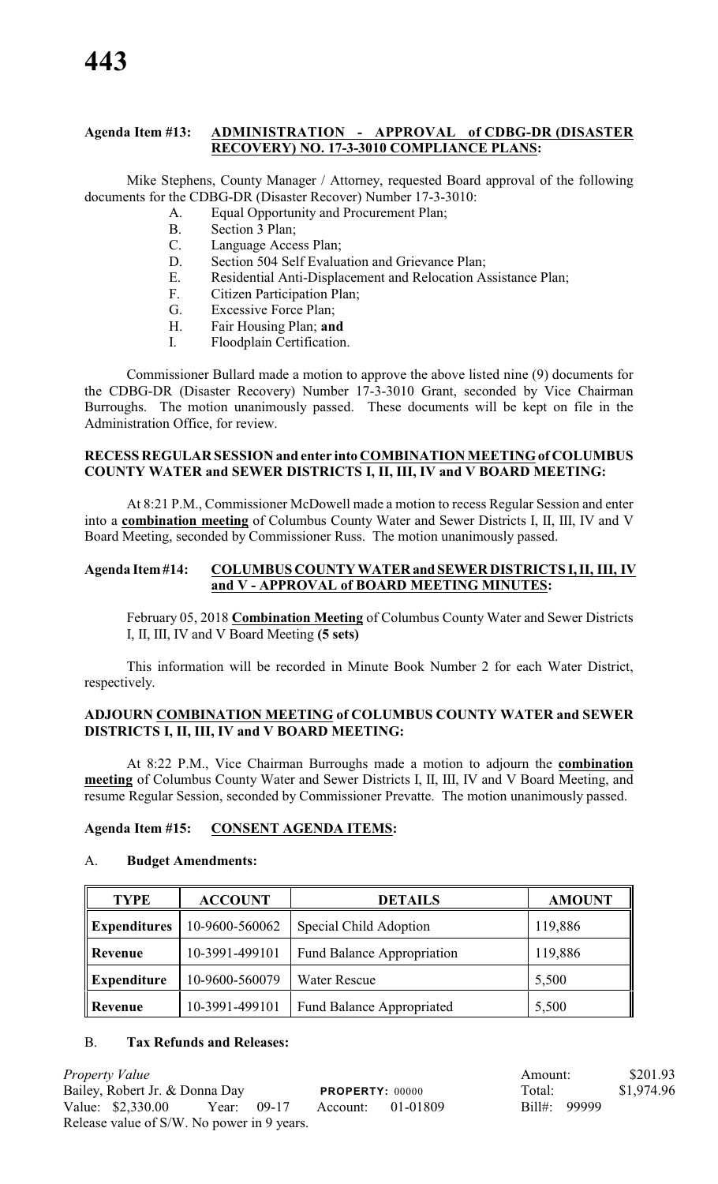### **Agenda Item #13: ADMINISTRATION - APPROVAL of CDBG-DR (DISASTER RECOVERY) NO. 17-3-3010 COMPLIANCE PLANS:**

Mike Stephens, County Manager / Attorney, requested Board approval of the following documents for the CDBG-DR (Disaster Recover) Number 17-3-3010:

- A. Equal Opportunity and Procurement Plan;
- B. Section 3 Plan;
- C. Language Access Plan;
- D. Section 504 Self Evaluation and Grievance Plan;
- E. Residential Anti-Displacement and Relocation Assistance Plan;
- F. Citizen Participation Plan;
- G. Excessive Force Plan;
- H. Fair Housing Plan; **and**
- I. Floodplain Certification.

Commissioner Bullard made a motion to approve the above listed nine (9) documents for the CDBG-DR (Disaster Recovery) Number 17-3-3010 Grant, seconded by Vice Chairman Burroughs. The motion unanimously passed. These documents will be kept on file in the Administration Office, for review.

#### **RECESS REGULAR SESSION and enter into COMBINATION MEETING of COLUMBUS COUNTY WATER and SEWER DISTRICTS I, II, III, IV and V BOARD MEETING:**

At 8:21 P.M., Commissioner McDowell made a motion to recess Regular Session and enter into a **combination meeting** of Columbus County Water and Sewer Districts I, II, III, IV and V Board Meeting, seconded by Commissioner Russ. The motion unanimously passed.

# **Agenda Item #14: COLUMBUS COUNTY WATER and SEWER DISTRICTS I, II, III, IV and V - APPROVAL of BOARD MEETING MINUTES:**

February 05, 2018 **Combination Meeting** of Columbus County Water and Sewer Districts I, II, III, IV and V Board Meeting **(5 sets)**

This information will be recorded in Minute Book Number 2 for each Water District, respectively.

#### **ADJOURN COMBINATION MEETING of COLUMBUS COUNTY WATER and SEWER DISTRICTS I, II, III, IV and V BOARD MEETING:**

At 8:22 P.M., Vice Chairman Burroughs made a motion to adjourn the **combination meeting** of Columbus County Water and Sewer Districts I, II, III, IV and V Board Meeting, and resume Regular Session, seconded by Commissioner Prevatte. The motion unanimously passed.

#### **Agenda Item #15: CONSENT AGENDA ITEMS:**

#### A. **Budget Amendments:**

| <b>TYPE</b>              | <b>ACCOUNT</b> | <b>DETAILS</b>                    | <b>AMOUNT</b> |
|--------------------------|----------------|-----------------------------------|---------------|
| $\parallel$ Expenditures | 10-9600-560062 | Special Child Adoption            | 119,886       |
| <b>Revenue</b>           | 10-3991-499101 | <b>Fund Balance Appropriation</b> | 119,886       |
| $\parallel$ Expenditure  | 10-9600-560079 | <b>Water Rescue</b>               | 5,500         |
| Revenue                  | 10-3991-499101 | <b>Fund Balance Appropriated</b>  | 5,500         |

### B. **Tax Refunds and Releases:**

*Property Value* \$201.93 Bailey, Robert Jr. & Donna Day **PROPERTY**: 00000 Total: \$1,974.96<br>
Value: \$2,330.00 Year: 09-17 Account: 01-01809 Bill#: 99999 09-17 Account: 01-01809 Bill#: 99999 Release value of S/W. No power in 9 years.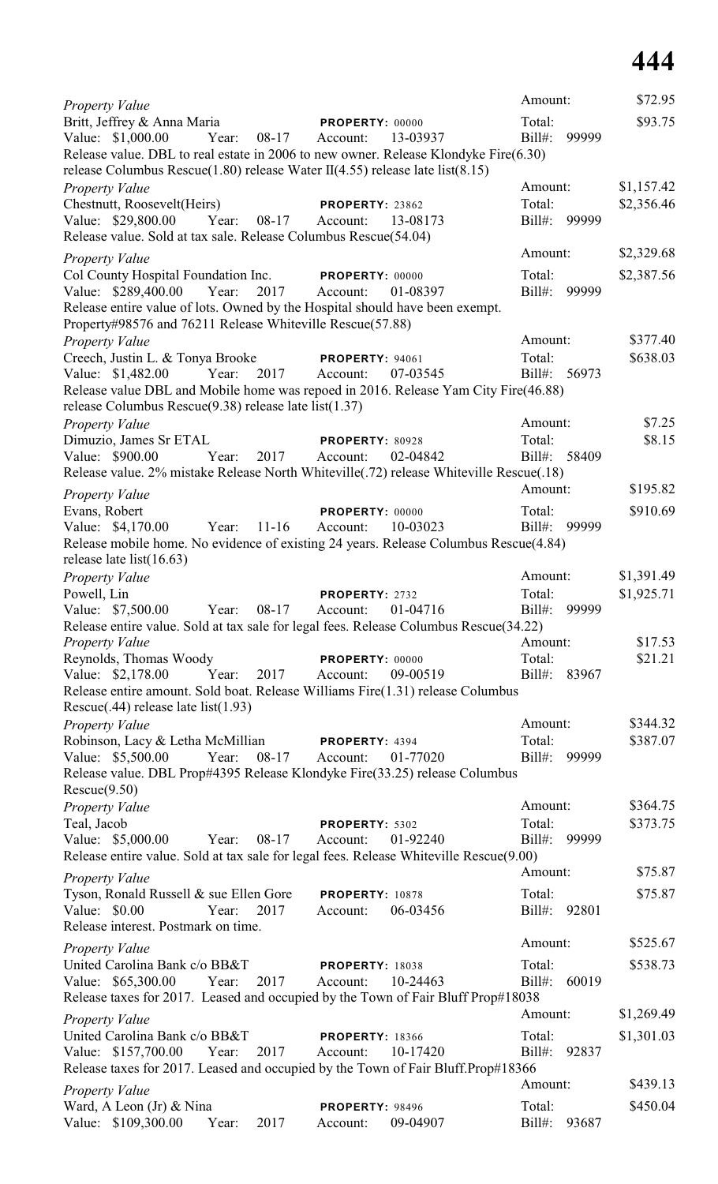| <b>Property Value</b>                                                                                                                                                        |                                                | Amount:                      | \$72.95    |
|------------------------------------------------------------------------------------------------------------------------------------------------------------------------------|------------------------------------------------|------------------------------|------------|
| Britt, Jeffrey & Anna Maria<br>Value: \$1,000.00<br>08-17<br>Year:                                                                                                           | PROPERTY: 00000<br>Account:<br>13-03937        | Total:<br>$Bill#$ :<br>99999 | \$93.75    |
| Release value. DBL to real estate in 2006 to new owner. Release Klondyke Fire(6.30)<br>release Columbus Rescue $(1.80)$ release Water II $(4.55)$ release late list $(8.15)$ |                                                |                              |            |
| <b>Property Value</b>                                                                                                                                                        |                                                | Amount:                      | \$1,157.42 |
| Chestnutt, Roosevelt(Heirs)                                                                                                                                                  | <b>PROPERTY: 23862</b>                         | Total:                       | \$2,356.46 |
| Value: \$29,800.00<br>Year:<br>$08-17$                                                                                                                                       | Account:<br>13-08173                           | 99999<br>$Bill#$ :           |            |
| Release value. Sold at tax sale. Release Columbus Rescue(54.04)                                                                                                              |                                                |                              |            |
| <b>Property Value</b>                                                                                                                                                        |                                                | Amount:                      | \$2,329.68 |
| Col County Hospital Foundation Inc.                                                                                                                                          | PROPERTY: 00000                                | Total:                       | \$2,387.56 |
| Value: \$289,400.00<br>Year:<br>2017                                                                                                                                         | 01-08397<br>Account:                           | $Bill#$ :<br>99999           |            |
| Release entire value of lots. Owned by the Hospital should have been exempt.<br>Property#98576 and 76211 Release Whiteville Rescue(57.88)                                    |                                                |                              |            |
| <b>Property Value</b>                                                                                                                                                        |                                                | Amount:                      | \$377.40   |
| Creech, Justin L. & Tonya Brooke                                                                                                                                             | <b>PROPERTY: 94061</b>                         | Total:                       | \$638.03   |
| 2017<br>Value: \$1,482.00<br>Year:                                                                                                                                           | Account:<br>07-03545                           | $Bill#$ :<br>56973           |            |
| Release value DBL and Mobile home was repoed in 2016. Release Yam City Fire(46.88)                                                                                           |                                                |                              |            |
| release Columbus Rescue $(9.38)$ release late list $(1.37)$                                                                                                                  |                                                |                              |            |
| Property Value                                                                                                                                                               |                                                | Amount:                      | \$7.25     |
| Dimuzio, James Sr ETAL                                                                                                                                                       | PROPERTY: 80928                                | Total:                       | \$8.15     |
| Value: \$900.00<br>Year:<br>2017<br>Release value. 2% mistake Release North Whiteville(.72) release Whiteville Rescue(.18)                                                   | Account:<br>02-04842                           | $Bill#$ :<br>58409           |            |
|                                                                                                                                                                              |                                                | Amount:                      | \$195.82   |
| <b>Property Value</b>                                                                                                                                                        |                                                | Total:                       | \$910.69   |
| Evans, Robert<br>Value: \$4,170.00<br>$11 - 16$<br>Year:                                                                                                                     | PROPERTY: 00000<br>10-03023<br>Account:        | Bill#:<br>99999              |            |
| Release mobile home. No evidence of existing 24 years. Release Columbus Rescue(4.84)                                                                                         |                                                |                              |            |
| release late list $(16.63)$                                                                                                                                                  |                                                |                              |            |
| <b>Property Value</b>                                                                                                                                                        |                                                | Amount:                      | \$1,391.49 |
| Powell, Lin                                                                                                                                                                  | PROPERTY: 2732                                 | Total:                       | \$1,925.71 |
| Value: \$7,500.00<br>$08-17$<br>Year:                                                                                                                                        | 01-04716<br>Account:                           | Bill#:<br>99999              |            |
| Release entire value. Sold at tax sale for legal fees. Release Columbus Rescue(34.22)<br><b>Property Value</b>                                                               |                                                | Amount:                      | \$17.53    |
| Reynolds, Thomas Woody                                                                                                                                                       | PROPERTY: 00000                                | Total:                       | \$21.21    |
| Value: \$2,178.00<br>Year:<br>2017                                                                                                                                           | 09-00519<br>Account:                           | Bill#:<br>83967              |            |
| Release entire amount. Sold boat. Release Williams Fire(1.31) release Columbus                                                                                               |                                                |                              |            |
| Rescue $(.44)$ release late list $(1.93)$                                                                                                                                    |                                                |                              |            |
| Property Value                                                                                                                                                               |                                                | Amount:                      | \$344.32   |
| Robinson, Lacy & Letha McMillian                                                                                                                                             | PROPERTY: 4394                                 | Total:                       | \$387.07   |
| Year:<br>$08-17$<br>Value: \$5,500.00<br>Release value. DBL Prop#4395 Release Klondyke Fire(33.25) release Columbus                                                          | Account:<br>01-77020                           | Bill#:<br>99999              |            |
| Rescue(9.50)                                                                                                                                                                 |                                                |                              |            |
| <b>Property Value</b>                                                                                                                                                        |                                                | Amount:                      | \$364.75   |
| Teal, Jacob                                                                                                                                                                  | PROPERTY: 5302                                 | Total:                       | \$373.75   |
| Value: \$5,000.00<br>$08-17$<br>Year:                                                                                                                                        | 01-92240<br>Account:                           | $Bill#$ :<br>99999           |            |
| Release entire value. Sold at tax sale for legal fees. Release Whiteville Rescue(9.00)                                                                                       |                                                |                              |            |
| <b>Property Value</b>                                                                                                                                                        |                                                | Amount:                      | \$75.87    |
| Tyson, Ronald Russell & sue Ellen Gore                                                                                                                                       | <b>PROPERTY: 10878</b>                         | Total:                       | \$75.87    |
| Value: \$0.00<br>Year:<br>2017                                                                                                                                               | 06-03456<br>Account:                           | $Bill#$ :<br>92801           |            |
| Release interest. Postmark on time.                                                                                                                                          |                                                | Amount:                      | \$525.67   |
| <b>Property Value</b>                                                                                                                                                        |                                                |                              |            |
| United Carolina Bank c/o BB&T<br>Value: \$65,300.00<br>2017<br>Year:                                                                                                         | <b>PROPERTY: 18038</b><br>Account:<br>10-24463 | Total:<br>60019<br>$Bill#$ : | \$538.73   |
| Release taxes for 2017. Leased and occupied by the Town of Fair Bluff Prop#18038                                                                                             |                                                |                              |            |
|                                                                                                                                                                              |                                                | Amount:                      | \$1,269.49 |
| <b>Property Value</b><br>United Carolina Bank c/o BB&T                                                                                                                       | <b>PROPERTY: 18366</b>                         | Total:                       | \$1,301.03 |
| Value: \$157,700.00<br>2017<br>Year:                                                                                                                                         | Account:<br>10-17420                           | $Bill#$ :<br>92837           |            |
| Release taxes for 2017. Leased and occupied by the Town of Fair Bluff.Prop#18366                                                                                             |                                                |                              |            |
| <b>Property Value</b>                                                                                                                                                        |                                                | Amount:                      | \$439.13   |
| Ward, A Leon (Jr) & Nina                                                                                                                                                     | <b>PROPERTY: 98496</b>                         | Total:                       | \$450.04   |
| Value: \$109,300.00<br>Year:<br>2017                                                                                                                                         | 09-04907<br>Account:                           | $Bill#$ :<br>93687           |            |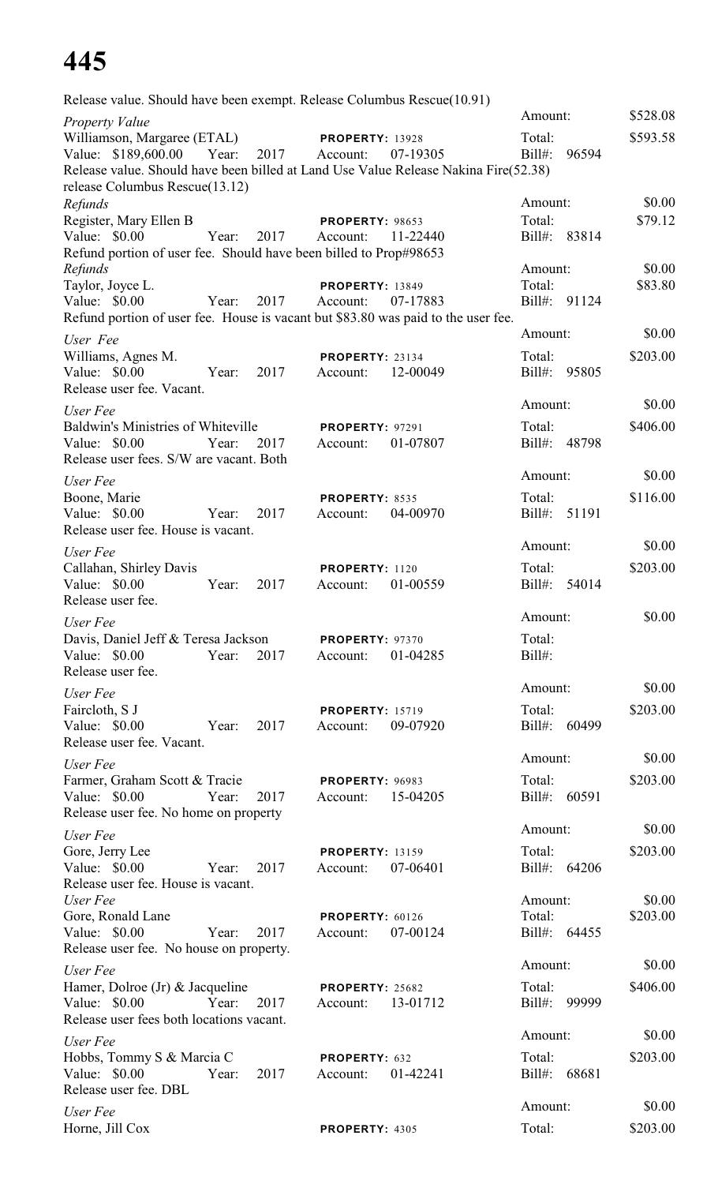# **445**

| Release value. Should have been exempt. Release Columbus Rescue(10.91)                                                |       |      |                             |          |                     |              |                   |
|-----------------------------------------------------------------------------------------------------------------------|-------|------|-----------------------------|----------|---------------------|--------------|-------------------|
| <b>Property Value</b>                                                                                                 |       |      |                             |          | Amount:             |              | \$528.08          |
| Williamson, Margaree (ETAL)<br>Value: \$189,600.00                                                                    | Year: | 2017 | PROPERTY: 13928<br>Account: | 07-19305 | Total:<br>$Bill#$ : | 96594        | \$593.58          |
| Release value. Should have been billed at Land Use Value Release Nakina Fire(52.38)<br>release Columbus Rescue(13.12) |       |      |                             |          |                     |              |                   |
| Refunds                                                                                                               |       |      |                             |          | Amount:             |              | \$0.00            |
| Register, Mary Ellen B                                                                                                |       |      | PROPERTY: 98653             |          | Total:              |              | \$79.12           |
| Value: $$0.00$                                                                                                        | Year: | 2017 | Account:                    | 11-22440 | $Bill#$ :           | 83814        |                   |
| Refund portion of user fee. Should have been billed to Prop#98653                                                     |       |      |                             |          |                     |              |                   |
| Refunds<br>Taylor, Joyce L.                                                                                           |       |      | <b>PROPERTY: 13849</b>      |          | Amount:<br>Total:   |              | \$0.00<br>\$83.80 |
| Value: \$0.00                                                                                                         | Year: | 2017 | Account:                    | 07-17883 |                     | Bill#: 91124 |                   |
| Refund portion of user fee. House is vacant but \$83.80 was paid to the user fee.                                     |       |      |                             |          |                     |              |                   |
| User Fee                                                                                                              |       |      |                             |          | Amount:             |              | \$0.00            |
| Williams, Agnes M.                                                                                                    |       |      | <b>PROPERTY: 23134</b>      |          | Total:              |              | \$203.00          |
| Value: \$0.00<br>Release user fee. Vacant.                                                                            | Year: | 2017 | Account:                    | 12-00049 | $Bill#$ :           | 95805        |                   |
| User Fee                                                                                                              |       |      |                             |          | Amount:             |              | \$0.00            |
| Baldwin's Ministries of Whiteville                                                                                    |       |      | <b>PROPERTY: 97291</b>      |          | Total:              |              | \$406.00          |
| Value: \$0.00<br>Release user fees. S/W are vacant. Both                                                              | Year: | 2017 | Account:                    | 01-07807 | Bill#:              | 48798        |                   |
| User Fee                                                                                                              |       |      |                             |          | Amount:             |              | \$0.00            |
| Boone, Marie                                                                                                          |       |      | PROPERTY: 8535              |          | Total:              |              | \$116.00          |
| Value: $$0.00$                                                                                                        | Year: | 2017 | Account:                    | 04-00970 | $Bill#$ :           | 51191        |                   |
| Release user fee. House is vacant.                                                                                    |       |      |                             |          | Amount:             |              | \$0.00            |
| User Fee                                                                                                              |       |      |                             |          |                     |              |                   |
| Callahan, Shirley Davis<br>Value: \$0.00<br>Release user fee.                                                         | Year: | 2017 | PROPERTY: 1120<br>Account:  | 01-00559 | Total:<br>$Bill#$ : | 54014        | \$203.00          |
| User Fee                                                                                                              |       |      |                             |          | Amount:             |              | \$0.00            |
| Davis, Daniel Jeff & Teresa Jackson                                                                                   |       |      | <b>PROPERTY: 97370</b>      |          | Total:              |              |                   |
| Value: \$0.00<br>Release user fee.                                                                                    | Year: | 2017 | Account:                    | 01-04285 | $Bill#$ :           |              |                   |
| User Fee                                                                                                              |       |      |                             |          | Amount:             |              | \$0.00            |
| Faircloth, S J                                                                                                        |       |      | <b>PROPERTY: 15719</b>      |          | Total:              |              | \$203.00          |
| Value: \$0.00<br>Release user fee. Vacant.                                                                            | Year: | 2017 | Account:                    | 09-07920 | Bill#:              | 60499        |                   |
| User Fee                                                                                                              |       |      |                             |          | Amount:             |              | \$0.00            |
| Farmer, Graham Scott & Tracie                                                                                         |       |      | PROPERTY: 96983             |          | Total:              |              | \$203.00          |
| Value: \$0.00<br>Release user fee. No home on property                                                                | Year: | 2017 | Account:                    | 15-04205 | Bill#: 60591        |              |                   |
| User Fee                                                                                                              |       |      |                             |          | Amount:             |              | \$0.00            |
| Gore, Jerry Lee                                                                                                       |       |      | <b>PROPERTY: 13159</b>      |          | Total:              |              | \$203.00          |
| Value: \$0.00                                                                                                         | Year: | 2017 | Account:                    | 07-06401 |                     | Bill#: 64206 |                   |
| Release user fee. House is vacant.<br>User Fee                                                                        |       |      |                             |          | Amount:             |              | \$0.00            |
| Gore, Ronald Lane                                                                                                     |       |      | PROPERTY: 60126             |          | Total:              |              | \$203.00          |
| Value: \$0.00<br>Release user fee. No house on property.                                                              | Year: | 2017 | Account:                    | 07-00124 | Bill#:              | 64455        |                   |
| User Fee                                                                                                              |       |      |                             |          | Amount:             |              | \$0.00            |
| Hamer, Dolroe (Jr) $&$ Jacqueline                                                                                     |       |      | <b>PROPERTY: 25682</b>      |          | Total:              |              | \$406.00          |
| Value: $$0.00$<br>Release user fees both locations vacant.                                                            | Year: | 2017 | Account:                    | 13-01712 | $Bill#$ :           | 99999        |                   |
| User Fee                                                                                                              |       |      |                             |          | Amount:             |              | \$0.00            |
| Hobbs, Tommy S & Marcia C                                                                                             |       |      | PROPERTY: 632               |          | Total:              |              | \$203.00          |
| Value: $$0.00$<br>Release user fee. DBL                                                                               | Year: | 2017 | Account:                    | 01-42241 | $Bill#$ :           | 68681        |                   |
| User Fee                                                                                                              |       |      |                             |          | Amount:             |              | \$0.00            |
| Horne, Jill Cox                                                                                                       |       |      | PROPERTY: 4305              |          | Total:              |              | \$203.00          |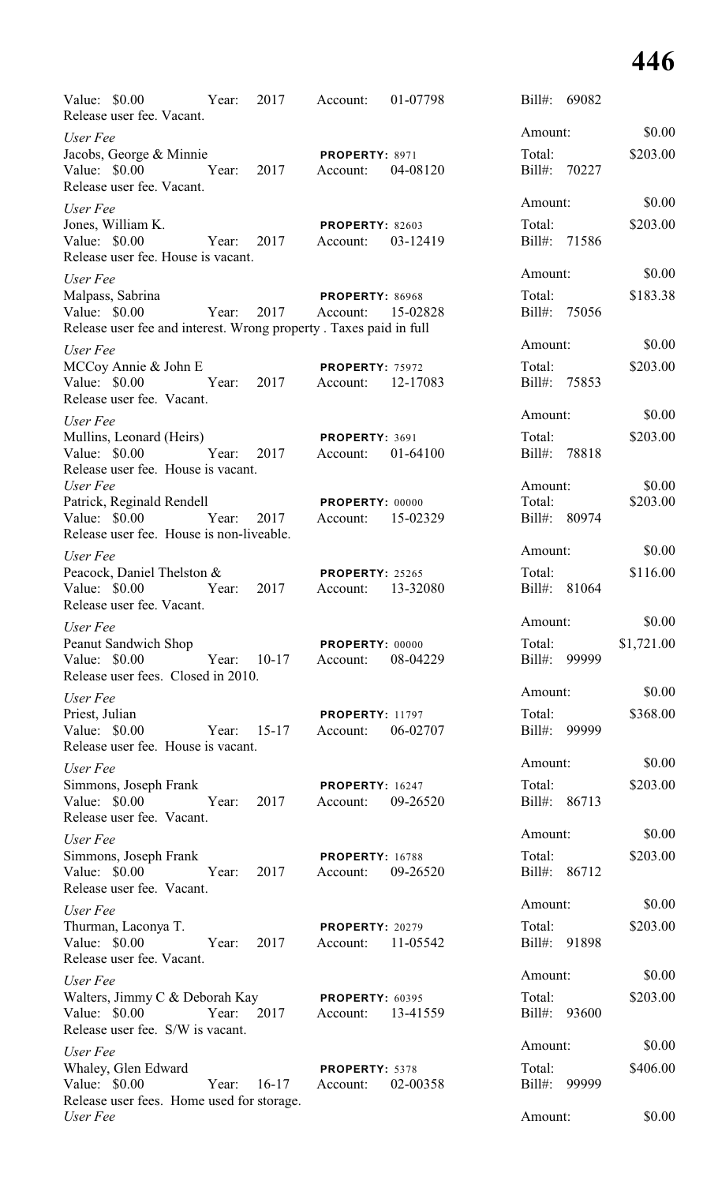# **446**

| Value: \$0.00<br>Year:                                                                                            | 2017          | Account:                                    | 01-07798 | Bill#:<br>69082        |            |
|-------------------------------------------------------------------------------------------------------------------|---------------|---------------------------------------------|----------|------------------------|------------|
| Release user fee. Vacant.<br>User Fee                                                                             |               |                                             |          | Amount:                | \$0.00     |
| Jacobs, George & Minnie                                                                                           |               | PROPERTY: 8971                              |          | Total:                 | \$203.00   |
| Value: \$0.00<br>Year:<br>Release user fee. Vacant.                                                               | 2017          | Account:                                    | 04-08120 | Bill#:<br>70227        |            |
| User Fee                                                                                                          |               |                                             |          | Amount:                | \$0.00     |
| Jones, William K.<br>Value: $$0.00$<br>Year:<br>Release user fee. House is vacant.                                | 2017          | PROPERTY: 82603<br>Account:                 | 03-12419 | Total:<br>Bill#: 71586 | \$203.00   |
| User Fee                                                                                                          |               |                                             |          | Amount:                | \$0.00     |
| Malpass, Sabrina<br>Value: $$0.00$<br>Year:<br>Release user fee and interest. Wrong property . Taxes paid in full |               | PROPERTY: 86968<br>2017 Account:            | 15-02828 | Total:<br>Bill#: 75056 | \$183.38   |
| User Fee                                                                                                          |               |                                             |          | Amount:                | \$0.00     |
| MCCoy Annie & John E<br>Value: \$0.00<br>Year:<br>Release user fee. Vacant.                                       |               | <b>PROPERTY: 75972</b><br>2017 Account:     | 12-17083 | Total:<br>Bill#: 75853 | \$203.00   |
| User Fee                                                                                                          |               |                                             |          | Amount:                | \$0.00     |
| Mullins, Leonard (Heirs)                                                                                          |               | PROPERTY: 3691                              |          | Total:                 | \$203.00   |
| Value: \$0.00<br>Release user fee. House is vacant.                                                               | Year:         | 2017 Account:                               | 01-64100 | Bill#: 78818           |            |
| User Fee                                                                                                          |               |                                             |          | Amount:                | \$0.00     |
| Patrick, Reginald Rendell<br>Value: \$0.00<br>Year:<br>Release user fee. House is non-liveable.                   | 2017          | PROPERTY: 00000<br>Account:                 | 15-02329 | Total:<br>Bill#: 80974 | \$203.00   |
| User Fee                                                                                                          |               |                                             |          | Amount:                | \$0.00     |
| Peacock, Daniel Thelston &<br>Value: \$0.00<br>Year:<br>Release user fee. Vacant.                                 | 2017          | <b>PROPERTY: 25265</b><br>Account:          | 13-32080 | Total:<br>Bill#: 81064 | \$116.00   |
| User Fee                                                                                                          |               |                                             |          | Amount:                | \$0.00     |
| Peanut Sandwich Shop<br>Value: \$0.00<br>Release user fees. Closed in 2010.                                       | Year: 10-17   | <b>PROPERTY: 00000</b><br>Account:          | 08-04229 | Total:<br>Bill#: 99999 | \$1,721.00 |
| User Fee                                                                                                          |               |                                             |          | Amount:                | \$0.00     |
| Priest, Julian<br>Value: \$0.00<br>Release user fee. House is vacant.                                             | Year: 15-17   | <b>PROPERTY: 11797</b><br>Account:          | 06-02707 | Total:<br>Bill#: 99999 | \$368.00   |
| User Fee                                                                                                          |               |                                             |          | Amount:                | \$0.00     |
| Simmons, Joseph Frank<br>Value: \$0.00<br>Release user fee. Vacant.                                               | Year:<br>2017 | <b>PROPERTY: 16247</b><br>Account:          | 09-26520 | Total:<br>Bill#: 86713 | \$203.00   |
| User Fee                                                                                                          |               |                                             |          | Amount:                | \$0.00     |
| Simmons, Joseph Frank<br>Value: $$0.00$<br>Release user fee. Vacant.                                              | Year:<br>2017 | <b>PROPERTY: 16788</b><br>Account:          | 09-26520 | Total:<br>Bill#: 86712 | \$203.00   |
| User Fee                                                                                                          |               |                                             |          | Amount:                | \$0.00     |
| Thurman, Laconya T.<br>Value: \$0.00<br>Year:<br>Release user fee. Vacant.                                        | 2017          | <b>PROPERTY: 20279</b><br>Account: 11-05542 |          | Total:<br>Bill#: 91898 | \$203.00   |
| User Fee                                                                                                          |               |                                             |          | Amount:                | \$0.00     |
| Walters, Jimmy C & Deborah Kay<br>Value: \$0.00<br>Release user fee. S/W is vacant.                               | 2017<br>Year: | <b>PROPERTY: 60395</b><br>Account: 13-41559 |          | Total:<br>Bill#: 93600 | \$203.00   |
| User Fee                                                                                                          |               |                                             |          | Amount:                | \$0.00     |
| Whaley, Glen Edward<br>Value: \$0.00<br>Year:<br>Release user fees. Home used for storage.                        | $16-17$       | PROPERTY: 5378<br>Account:                  | 02-00358 | Total:<br>Bill#: 99999 | \$406.00   |
| User Fee                                                                                                          |               |                                             |          | Amount:                | \$0.00     |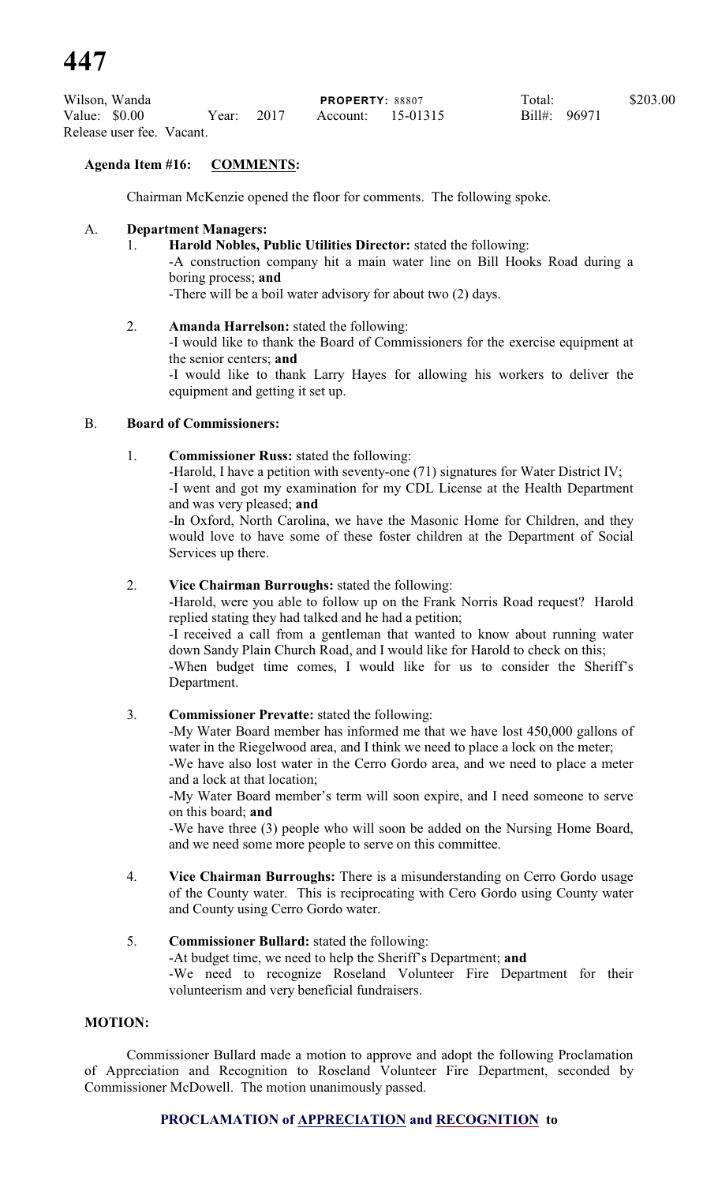| Wilson, Wanda             |       | <b>PROPERTY: 88807</b> |  |                   | Total:       | \$203.00 |  |
|---------------------------|-------|------------------------|--|-------------------|--------------|----------|--|
| Value: \$0.00             | Year: | 2017                   |  | Account: 15-01315 | Bill#: 96971 |          |  |
| Release user fee. Vacant. |       |                        |  |                   |              |          |  |

# **Agenda Item #16: COMMENTS:**

Chairman McKenzie opened the floor for comments. The following spoke.

### A. **Department Managers:**

1. **Harold Nobles, Public Utilities Director:** stated the following:

-A construction company hit a main water line on Bill Hooks Road during a boring process; **and**

-There will be a boil water advisory for about two (2) days.

#### 2. **Amanda Harrelson:** stated the following:

-I would like to thank the Board of Commissioners for the exercise equipment at the senior centers; **and**

-I would like to thank Larry Hayes for allowing his workers to deliver the equipment and getting it set up.

# B. **Board of Commissioners:**

# 1. **Commissioner Russ:** stated the following:

-Harold, I have a petition with seventy-one (71) signatures for Water District IV; -I went and got my examination for my CDL License at the Health Department and was very pleased; **and**

-In Oxford, North Carolina, we have the Masonic Home for Children, and they would love to have some of these foster children at the Department of Social Services up there.

#### 2. **Vice Chairman Burroughs:** stated the following:

-Harold, were you able to follow up on the Frank Norris Road request? Harold replied stating they had talked and he had a petition;

-I received a call from a gentleman that wanted to know about running water down Sandy Plain Church Road, and I would like for Harold to check on this;

-When budget time comes, I would like for us to consider the Sheriff's Department.

#### 3. **Commissioner Prevatte:** stated the following:

-My Water Board member has informed me that we have lost 450,000 gallons of water in the Riegelwood area, and I think we need to place a lock on the meter;

-We have also lost water in the Cerro Gordo area, and we need to place a meter and a lock at that location;

-My Water Board member's term will soon expire, and I need someone to serve on this board; **and**

-We have three (3) people who will soon be added on the Nursing Home Board, and we need some more people to serve on this committee.

4. **Vice Chairman Burroughs:** There is a misunderstanding on Cerro Gordo usage of the County water. This is reciprocating with Cero Gordo using County water and County using Cerro Gordo water.

#### 5. **Commissioner Bullard:** stated the following: -At budget time, we need to help the Sheriff's Department; **and** -We need to recognize Roseland Volunteer Fire Department for their volunteerism and very beneficial fundraisers.

#### **MOTION:**

Commissioner Bullard made a motion to approve and adopt the following Proclamation of Appreciation and Recognition to Roseland Volunteer Fire Department, seconded by Commissioner McDowell. The motion unanimously passed.

# **PROCLAMATION of APPRECIATION and RECOGNITION to**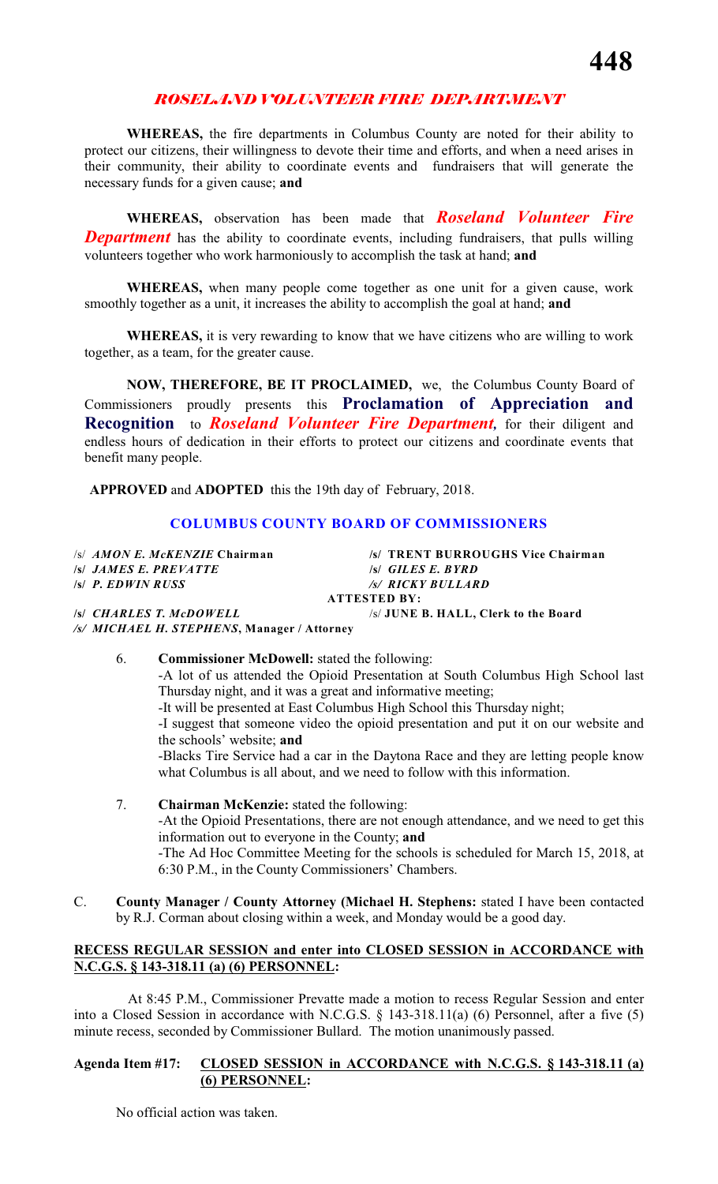# *ROSELAND VOLUNTEER FIRE DEPARTMENT*

**WHEREAS,** the fire departments in Columbus County are noted for their ability to protect our citizens, their willingness to devote their time and efforts, and when a need arises in their community, their ability to coordinate events and fundraisers that will generate the necessary funds for a given cause; **and**

**WHEREAS,** observation has been made that *Roseland Volunteer Fire* **Department** has the ability to coordinate events, including fundraisers, that pulls willing volunteers together who work harmoniously to accomplish the task at hand; **and**

**WHEREAS,** when many people come together as one unit for a given cause, work smoothly together as a unit, it increases the ability to accomplish the goal at hand; **and**

**WHEREAS,** it is very rewarding to know that we have citizens who are willing to work together, as a team, for the greater cause.

**NOW, THEREFORE, BE IT PROCLAIMED,** we, the Columbus County Board of Commissioners proudly presents this **Proclamation of Appreciation and Recognition** to *Roseland Volunteer Fire Department,* for their diligent and endless hours of dedication in their efforts to protect our citizens and coordinate events that benefit many people.

**APPROVED** and **ADOPTED** this the 19th day of February, 2018.

# **COLUMBUS COUNTY BOARD OF COMMISSIONERS**

**/s/** *JAMES E. PREVATTE* **/s/** *GILES E. BYRD*

/s/ *AMON E. McKENZIE* **Chairman /s/ TRENT BURROUGHS Vice Chairman /s/** *P. EDWIN RUSS /s/ RICKY BULLARD* **ATTESTED BY:**

**/s/** *CHARLES T. McDOWELL* /s/ **JUNE B. HALL, Clerk to the Board**

*/s/ MICHAEL H. STEPHENS***, Manager / Attorney**

# 6. **Commissioner McDowell:** stated the following: -A lot of us attended the Opioid Presentation at South Columbus High School last Thursday night, and it was a great and informative meeting; -It will be presented at East Columbus High School this Thursday night; -I suggest that someone video the opioid presentation and put it on our website and the schools' website; **and** -Blacks Tire Service had a car in the Daytona Race and they are letting people know what Columbus is all about, and we need to follow with this information. 7. **Chairman McKenzie:** stated the following:

- -At the Opioid Presentations, there are not enough attendance, and we need to get this information out to everyone in the County; **and** -The Ad Hoc Committee Meeting for the schools is scheduled for March 15, 2018, at 6:30 P.M., in the County Commissioners' Chambers.
- C. **County Manager / County Attorney (Michael H. Stephens:** stated I have been contacted by R.J. Corman about closing within a week, and Monday would be a good day.

# **RECESS REGULAR SESSION and enter into CLOSED SESSION in ACCORDANCE with N.C.G.S. § 143-318.11 (a) (6) PERSONNEL:**

 At 8:45 P.M., Commissioner Prevatte made a motion to recess Regular Session and enter into a Closed Session in accordance with N.C.G.S. § 143-318.11(a) (6) Personnel, after a five (5) minute recess, seconded by Commissioner Bullard. The motion unanimously passed.

#### **Agenda Item #17: CLOSED SESSION in ACCORDANCE with N.C.G.S. § 143-318.11 (a) (6) PERSONNEL:**

No official action was taken.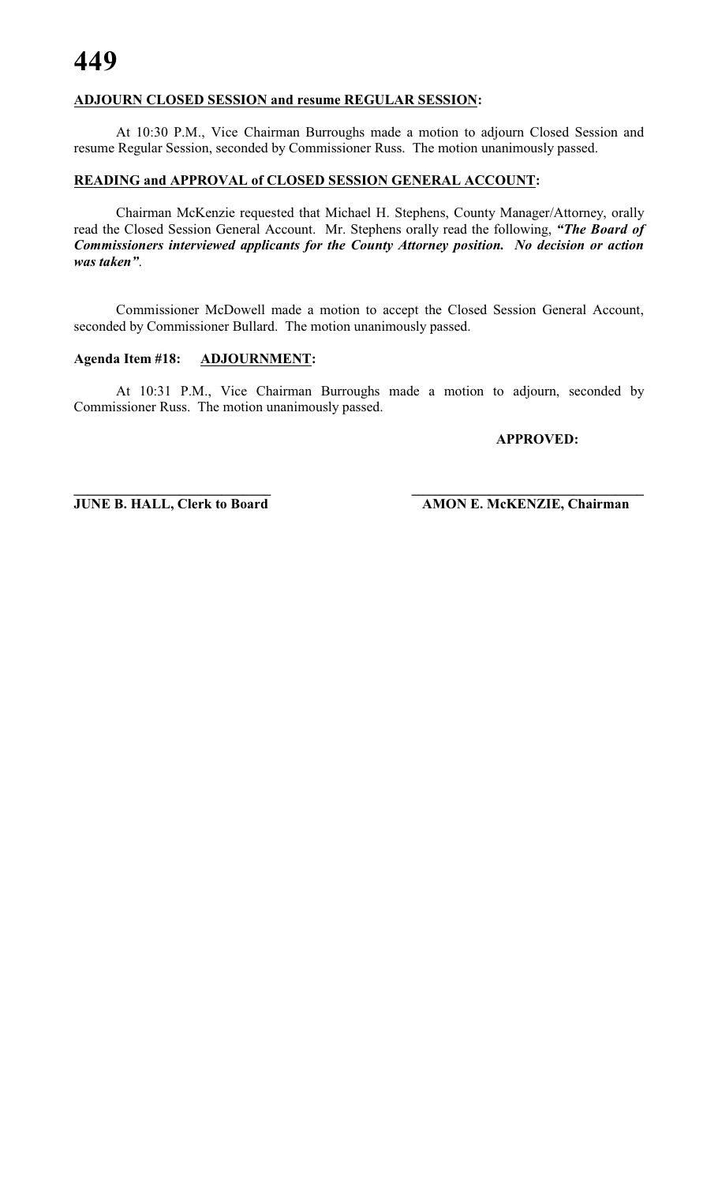# **ADJOURN CLOSED SESSION and resume REGULAR SESSION:**

At 10:30 P.M., Vice Chairman Burroughs made a motion to adjourn Closed Session and resume Regular Session, seconded by Commissioner Russ. The motion unanimously passed.

# **READING and APPROVAL of CLOSED SESSION GENERAL ACCOUNT:**

Chairman McKenzie requested that Michael H. Stephens, County Manager/Attorney, orally read the Closed Session General Account. Mr. Stephens orally read the following, *"The Board of Commissioners interviewed applicants for the County Attorney position. No decision or action was taken"*.

Commissioner McDowell made a motion to accept the Closed Session General Account, seconded by Commissioner Bullard. The motion unanimously passed.

#### **Agenda Item #18: ADJOURNMENT:**

At 10:31 P.M., Vice Chairman Burroughs made a motion to adjourn, seconded by Commissioner Russ. The motion unanimously passed.

**\_\_\_\_\_\_\_\_\_\_\_\_\_\_\_\_\_\_\_\_\_\_\_\_\_\_\_\_ \_\_\_\_\_\_\_\_\_\_\_\_\_\_\_\_\_\_\_\_\_\_\_\_\_\_\_\_\_\_\_\_\_**

# **APPROVED:**

**JUNE B. HALL, Clerk to Board AMON E. McKENZIE, Chairman**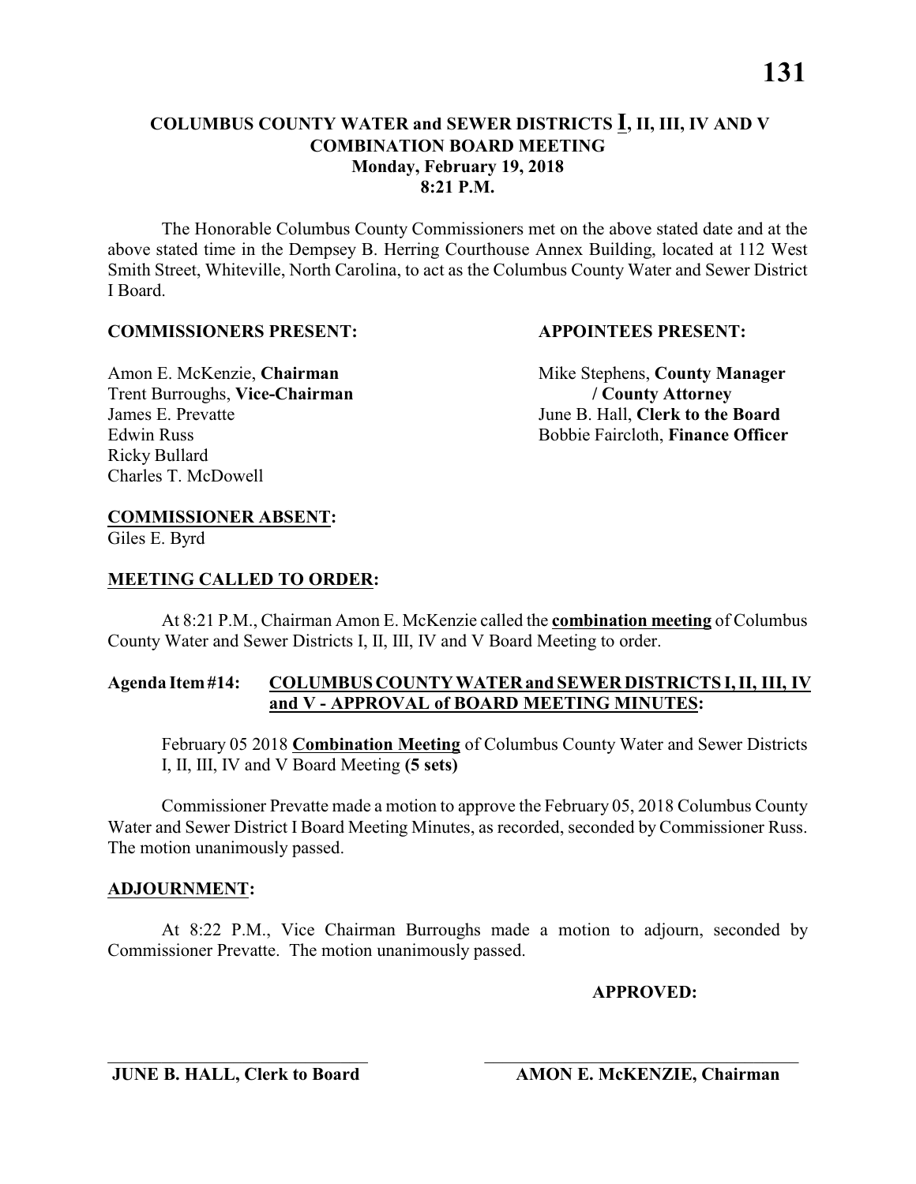The Honorable Columbus County Commissioners met on the above stated date and at the above stated time in the Dempsey B. Herring Courthouse Annex Building, located at 112 West Smith Street, Whiteville, North Carolina, to act as the Columbus County Water and Sewer District I Board.

#### **COMMISSIONERS PRESENT: APPOINTEES PRESENT:**

Trent Burroughs, **Vice-Chairman / County Attorney** James E. Prevatte June B. Hall, **Clerk to the Board** Ricky Bullard Charles T. McDowell

Amon E. McKenzie, **Chairman** Mike Stephens, **County Manager** Edwin Russ Bobbie Faircloth, **Finance Officer**

#### **COMMISSIONER ABSENT:**

Giles E. Byrd

#### **MEETING CALLED TO ORDER:**

At 8:21 P.M., Chairman Amon E. McKenzie called the **combination meeting** of Columbus County Water and Sewer Districts I, II, III, IV and V Board Meeting to order.

#### **Agenda Item #14: COLUMBUS COUNTY WATER and SEWER DISTRICTS I, II, III, IV and V - APPROVAL of BOARD MEETING MINUTES:**

February 05 2018 **Combination Meeting** of Columbus County Water and Sewer Districts I, II, III, IV and V Board Meeting **(5 sets)**

Commissioner Prevatte made a motion to approve the February 05, 2018 Columbus County Water and Sewer District I Board Meeting Minutes, as recorded, seconded by Commissioner Russ. The motion unanimously passed.

#### **ADJOURNMENT:**

At 8:22 P.M., Vice Chairman Burroughs made a motion to adjourn, seconded by Commissioner Prevatte. The motion unanimously passed.

#### **APPROVED:**

\_\_\_\_\_\_\_\_\_\_\_\_\_\_\_\_\_\_\_\_\_\_\_\_\_\_\_\_\_ \_\_\_\_\_\_\_\_\_\_\_\_\_\_\_\_\_\_\_\_\_\_\_\_\_\_\_\_\_\_\_\_\_\_\_ **JUNE B. HALL, Clerk to Board AMON E. McKENZIE, Chairman**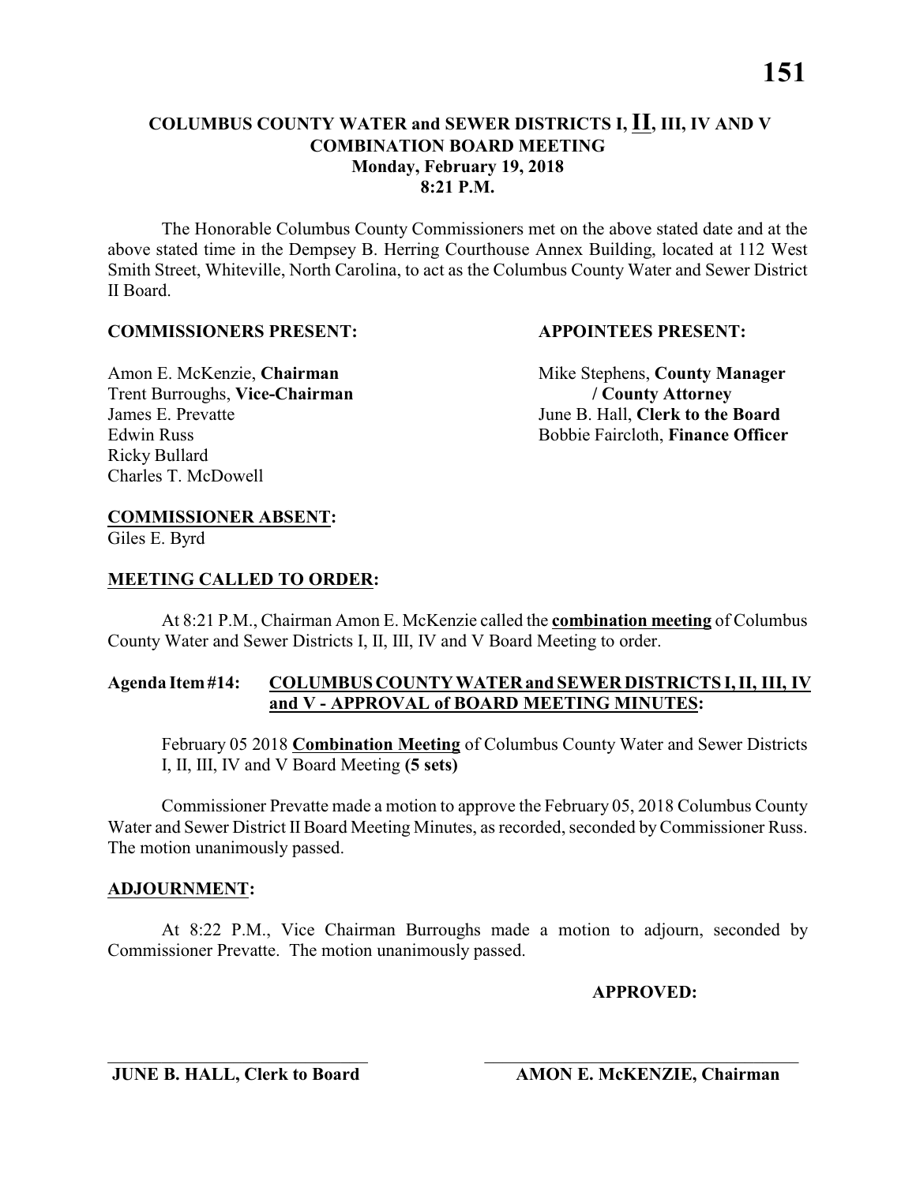The Honorable Columbus County Commissioners met on the above stated date and at the above stated time in the Dempsey B. Herring Courthouse Annex Building, located at 112 West Smith Street, Whiteville, North Carolina, to act as the Columbus County Water and Sewer District II Board.

#### **COMMISSIONERS PRESENT: APPOINTEES PRESENT:**

Trent Burroughs, **Vice-Chairman / County Attorney** James E. Prevatte June B. Hall, **Clerk to the Board** Ricky Bullard Charles T. McDowell

Amon E. McKenzie, **Chairman** Mike Stephens, **County Manager** Edwin Russ Bobbie Faircloth, **Finance Officer**

#### **COMMISSIONER ABSENT:**

Giles E. Byrd

#### **MEETING CALLED TO ORDER:**

At 8:21 P.M., Chairman Amon E. McKenzie called the **combination meeting** of Columbus County Water and Sewer Districts I, II, III, IV and V Board Meeting to order.

#### **Agenda Item #14: COLUMBUS COUNTY WATER and SEWER DISTRICTS I, II, III, IV and V - APPROVAL of BOARD MEETING MINUTES:**

February 05 2018 **Combination Meeting** of Columbus County Water and Sewer Districts I, II, III, IV and V Board Meeting **(5 sets)**

Commissioner Prevatte made a motion to approve the February 05, 2018 Columbus County Water and Sewer District II Board Meeting Minutes, as recorded, seconded by Commissioner Russ. The motion unanimously passed.

#### **ADJOURNMENT:**

At 8:22 P.M., Vice Chairman Burroughs made a motion to adjourn, seconded by Commissioner Prevatte. The motion unanimously passed.

#### **APPROVED:**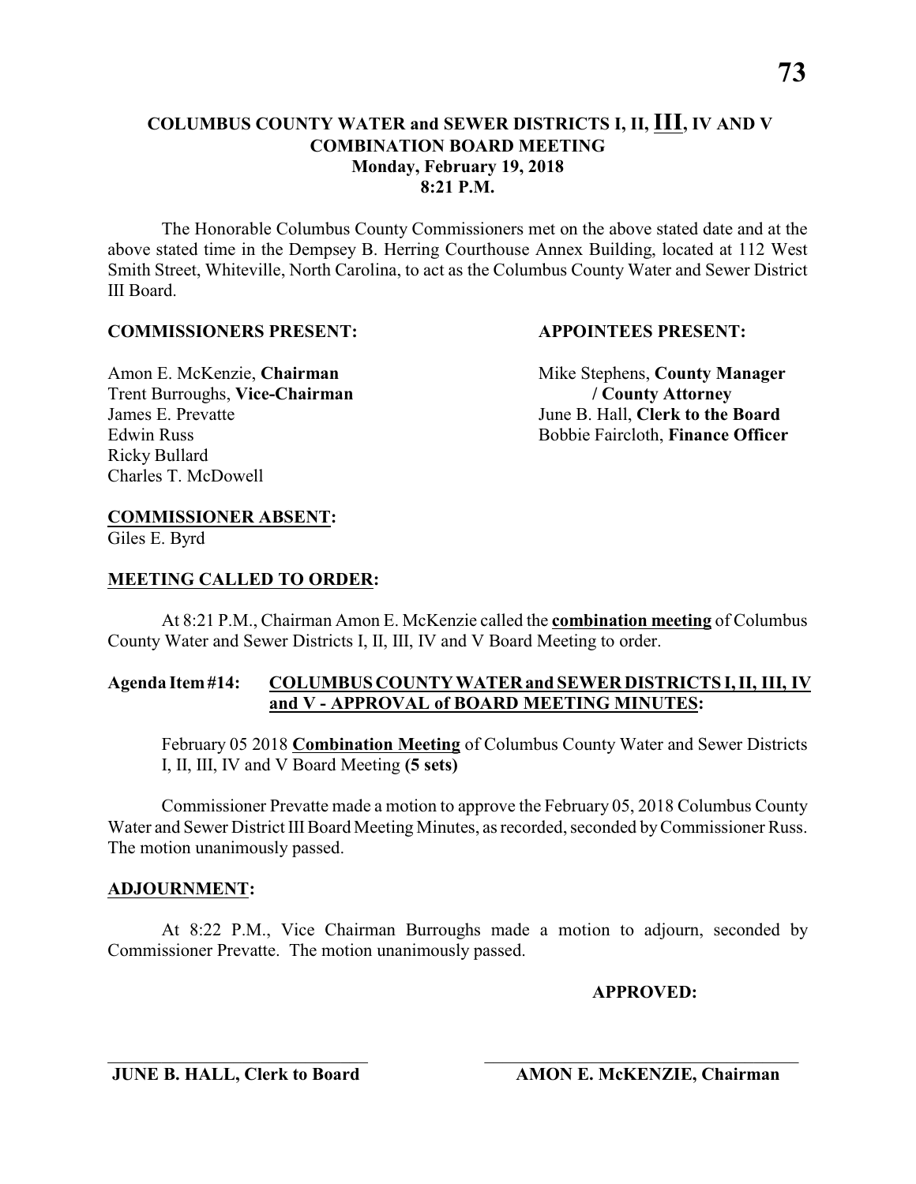The Honorable Columbus County Commissioners met on the above stated date and at the above stated time in the Dempsey B. Herring Courthouse Annex Building, located at 112 West Smith Street, Whiteville, North Carolina, to act as the Columbus County Water and Sewer District III Board.

#### **COMMISSIONERS PRESENT: APPOINTEES PRESENT:**

Trent Burroughs, **Vice-Chairman / County Attorney** James E. Prevatte June B. Hall, **Clerk to the Board** Ricky Bullard Charles T. McDowell

Amon E. McKenzie, **Chairman** Mike Stephens, **County Manager** Edwin Russ Bobbie Faircloth, **Finance Officer**

# **COMMISSIONER ABSENT:**

Giles E. Byrd

# **MEETING CALLED TO ORDER:**

At 8:21 P.M., Chairman Amon E. McKenzie called the **combination meeting** of Columbus County Water and Sewer Districts I, II, III, IV and V Board Meeting to order.

#### **Agenda Item #14: COLUMBUS COUNTY WATER and SEWER DISTRICTS I, II, III, IV and V - APPROVAL of BOARD MEETING MINUTES:**

February 05 2018 **Combination Meeting** of Columbus County Water and Sewer Districts I, II, III, IV and V Board Meeting **(5 sets)**

Commissioner Prevatte made a motion to approve the February 05, 2018 Columbus County Water and Sewer District III Board Meeting Minutes, as recorded, seconded by Commissioner Russ. The motion unanimously passed.

#### **ADJOURNMENT:**

At 8:22 P.M., Vice Chairman Burroughs made a motion to adjourn, seconded by Commissioner Prevatte. The motion unanimously passed.

# **APPROVED:**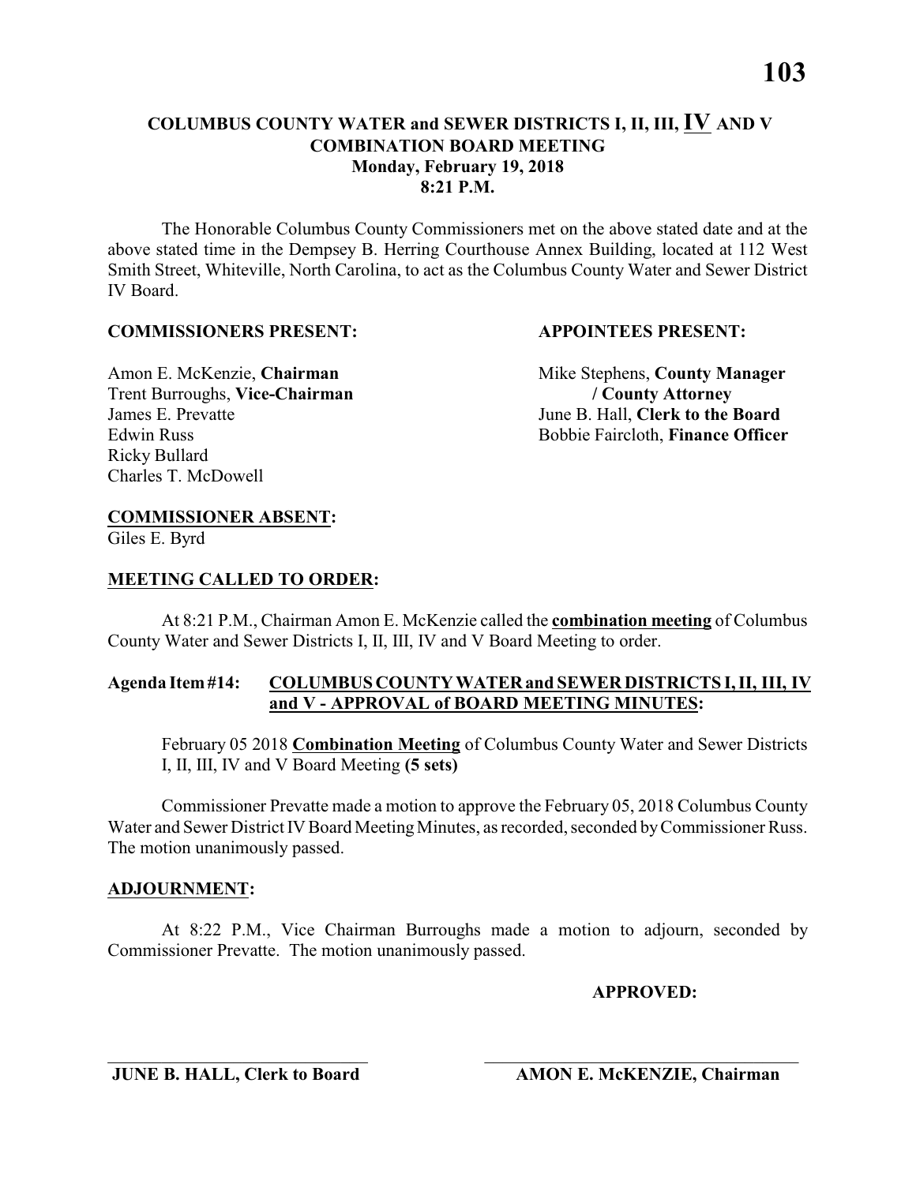The Honorable Columbus County Commissioners met on the above stated date and at the above stated time in the Dempsey B. Herring Courthouse Annex Building, located at 112 West Smith Street, Whiteville, North Carolina, to act as the Columbus County Water and Sewer District IV Board.

#### **COMMISSIONERS PRESENT: APPOINTEES PRESENT:**

Trent Burroughs, **Vice-Chairman / County Attorney** James E. Prevatte June B. Hall, **Clerk to the Board** Ricky Bullard Charles T. McDowell

Amon E. McKenzie, **Chairman** Mike Stephens, **County Manager** Edwin Russ Bobbie Faircloth, **Finance Officer**

# **COMMISSIONER ABSENT:**

Giles E. Byrd

# **MEETING CALLED TO ORDER:**

At 8:21 P.M., Chairman Amon E. McKenzie called the **combination meeting** of Columbus County Water and Sewer Districts I, II, III, IV and V Board Meeting to order.

#### **Agenda Item #14: COLUMBUS COUNTY WATER and SEWER DISTRICTS I, II, III, IV and V - APPROVAL of BOARD MEETING MINUTES:**

February 05 2018 **Combination Meeting** of Columbus County Water and Sewer Districts I, II, III, IV and V Board Meeting **(5 sets)**

Commissioner Prevatte made a motion to approve the February 05, 2018 Columbus County Water and Sewer District IV Board Meeting Minutes, as recorded, seconded by Commissioner Russ. The motion unanimously passed.

#### **ADJOURNMENT:**

At 8:22 P.M., Vice Chairman Burroughs made a motion to adjourn, seconded by Commissioner Prevatte. The motion unanimously passed.

# **APPROVED:**

\_\_\_\_\_\_\_\_\_\_\_\_\_\_\_\_\_\_\_\_\_\_\_\_\_\_\_\_\_ \_\_\_\_\_\_\_\_\_\_\_\_\_\_\_\_\_\_\_\_\_\_\_\_\_\_\_\_\_\_\_\_\_\_\_ **JUNE B. HALL, Clerk to Board AMON E. McKENZIE, Chairman**